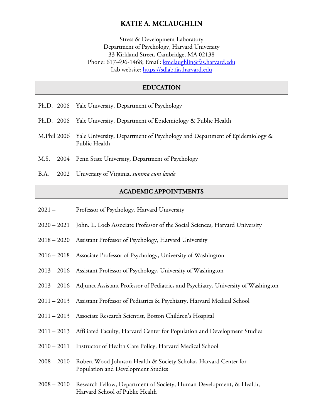# **KATIE A. MCLAUGHLIN**

Stress & Development Laboratory Department of Psychology, Harvard University 33 Kirkland Street, Cambridge, MA 02138 Phone: 617-496-1468; Email: kmclaughlin@fas.harvard.edu Lab website: https://sdlab.fas.harvard.edu

### **EDUCATION**

- Ph.D. 2008 Yale University, Department of Psychology
- Ph.D. 2008 Yale University, Department of Epidemiology & Public Health
- M.Phil 2006 Yale University, Department of Psychology and Department of Epidemiology & Public Health
- M.S. 2004 Penn State University, Department of Psychology
- B.A. 2002 University of Virginia, *summa cum laude*

### **ACADEMIC APPOINTMENTS**

- 2021 Professor of Psychology, Harvard University
- 2020 2021 John. L. Loeb Associate Professor of the Social Sciences, Harvard University
- 2018 2020 Assistant Professor of Psychology, Harvard University
- 2016 2018 Associate Professor of Psychology, University of Washington
- 2013 2016 Assistant Professor of Psychology, University of Washington
- 2013 2016 Adjunct Assistant Professor of Pediatrics and Psychiatry, University of Washington
- 2011 2013 Assistant Professor of Pediatrics & Psychiatry, Harvard Medical School
- 2011 2013 Associate Research Scientist, Boston Children's Hospital
- 2011 2013 Affiliated Faculty, Harvard Center for Population and Development Studies
- 2010 2011 Instructor of Health Care Policy, Harvard Medical School
- 2008 2010 Robert Wood Johnson Health & Society Scholar, Harvard Center for Population and Development Studies
- 2008 2010 Research Fellow, Department of Society, Human Development, & Health, Harvard School of Public Health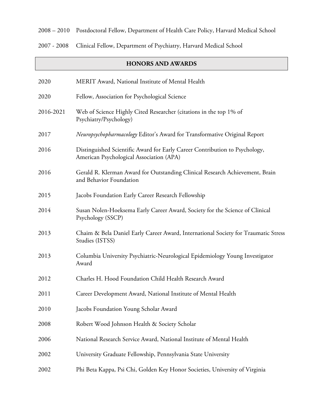2008 – 2010 Postdoctoral Fellow, Department of Health Care Policy, Harvard Medical School

2007 - 2008 Clinical Fellow, Department of Psychiatry, Harvard Medical School

# **HONORS AND AWARDS** 2020 MERIT Award, National Institute of Mental Health 2020 Fellow, Association for Psychological Science 2016-2021 Web of Science Highly Cited Researcher (citations in the top 1% of Psychiatry/Psychology) 2017 *Neuropsychopharmacology* Editor's Award for Transformative Original Report 2016 Distinguished Scientific Award for Early Career Contribution to Psychology, American Psychological Association (APA) 2016 Gerald R. Klerman Award for Outstanding Clinical Research Achievement, Brain and Behavior Foundation 2015 Jacobs Foundation Early Career Research Fellowship 2014 Susan Nolen-Hoeksema Early Career Award, Society for the Science of Clinical Psychology (SSCP) 2013 Chaim & Bela Daniel Early Career Award, International Society for Traumatic Stress Studies (ISTSS) 2013 Columbia University Psychiatric-Neurological Epidemiology Young Investigator Award 2012 Charles H. Hood Foundation Child Health Research Award 2011 Career Development Award, National Institute of Mental Health 2010 Jacobs Foundation Young Scholar Award 2008 Robert Wood Johnson Health & Society Scholar 2006 National Research Service Award, National Institute of Mental Health 2002 University Graduate Fellowship, Pennsylvania State University 2002 Phi Beta Kappa, Psi Chi, Golden Key Honor Societies, University of Virginia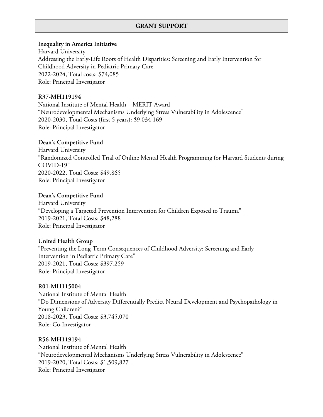# **GRANT SUPPORT**

### **Inequality in America Initiative**

Harvard University Addressing the Early-Life Roots of Health Disparities: Screening and Early Intervention for Childhood Adversity in Pediatric Primary Care 2022-2024, Total costs: \$74,085 Role: Principal Investigator

### **R37-MH119194**

National Institute of Mental Health – MERIT Award "Neurodevelopmental Mechanisms Underlying Stress Vulnerability in Adolescence" 2020-2030, Total Costs (first 5 years): \$9,034,169 Role: Principal Investigator

### **Dean's Competitive Fund**

Harvard University "Randomized Controlled Trial of Online Mental Health Programming for Harvard Students during COVID-19" 2020-2022, Total Costs: \$49,865 Role: Principal Investigator

### **Dean's Competitive Fund**

Harvard University "Developing a Targeted Prevention Intervention for Children Exposed to Trauma" 2019-2021, Total Costs: \$48,288 Role: Principal Investigator

### **United Health Group**

"Preventing the Long-Term Consequences of Childhood Adversity: Screening and Early Intervention in Pediatric Primary Care" 2019-2021, Total Costs: \$397,259 Role: Principal Investigator

### **R01-MH115004**

National Institute of Mental Health "Do Dimensions of Adversity Differentially Predict Neural Development and Psychopathology in Young Children?" 2018-2023, Total Costs: \$3,745,070 Role: Co-Investigator

### **R56-MH119194**

National Institute of Mental Health "Neurodevelopmental Mechanisms Underlying Stress Vulnerability in Adolescence" 2019-2020, Total Costs: \$1,509,827 Role: Principal Investigator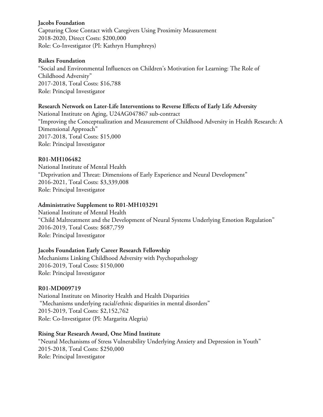### **Jacobs Foundation**

Capturing Close Contact with Caregivers Using Proximity Measurement 2018-2020, Direct Costs: \$200,000 Role: Co-Investigator (PI: Kathryn Humphreys)

### **Raikes Foundation**

"Social and Environmental Influences on Children's Motivation for Learning: The Role of Childhood Adversity" 2017-2018, Total Costs: \$16,788 Role: Principal Investigator

### **Research Network on Later-Life Interventions to Reverse Effects of Early Life Adversity**

National Institute on Aging, U24AG047867 sub-contract "Improving the Conceptualization and Measurement of Childhood Adversity in Health Research: A Dimensional Approach" 2017-2018, Total Costs: \$15,000 Role: Principal Investigator

### **R01-MH106482**

National Institute of Mental Health "Deprivation and Threat: Dimensions of Early Experience and Neural Development" 2016-2021, Total Costs: \$3,339,008 Role: Principal Investigator

### **Administrative Supplement to R01-MH103291**

National Institute of Mental Health "Child Maltreatment and the Development of Neural Systems Underlying Emotion Regulation" 2016-2019, Total Costs: \$687,759 Role: Principal Investigator

# **Jacobs Foundation Early Career Research Fellowship**

Mechanisms Linking Childhood Adversity with Psychopathology 2016-2019, Total Costs: \$150,000 Role: Principal Investigator

### **R01-MD009719**

National Institute on Minority Health and Health Disparities "Mechanisms underlying racial/ethnic disparities in mental disorders" 2015-2019, Total Costs: \$2,152,762 Role: Co-Investigator (PI: Margarita Alegria)

### **Rising Star Research Award, One Mind Institute**

"Neural Mechanisms of Stress Vulnerability Underlying Anxiety and Depression in Youth" 2015-2018, Total Costs: \$250,000 Role: Principal Investigator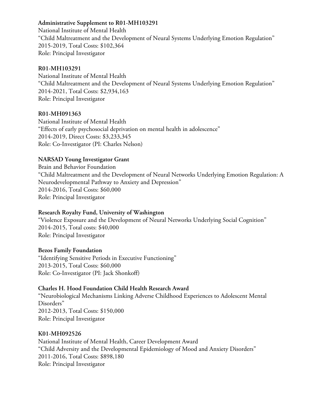# **Administrative Supplement to R01-MH103291**

National Institute of Mental Health "Child Maltreatment and the Development of Neural Systems Underlying Emotion Regulation" 2015-2019, Total Costs: \$102,364 Role: Principal Investigator

# **R01-MH103291**

National Institute of Mental Health "Child Maltreatment and the Development of Neural Systems Underlying Emotion Regulation" 2014-2021, Total Costs: \$2,934,163 Role: Principal Investigator

# **R01-MH091363**

National Institute of Mental Health "Effects of early psychosocial deprivation on mental health in adolescence" 2014-2019, Direct Costs: \$3,233,345 Role: Co-Investigator (PI: Charles Nelson)

# **NARSAD Young Investigator Grant**

Brain and Behavior Foundation "Child Maltreatment and the Development of Neural Networks Underlying Emotion Regulation: A Neurodevelopmental Pathway to Anxiety and Depression" 2014-2016, Total Costs: \$60,000 Role: Principal Investigator

# **Research Royalty Fund, University of Washington**

"Violence Exposure and the Development of Neural Networks Underlying Social Cognition" 2014-2015, Total costs: \$40,000 Role: Principal Investigator

# **Bezos Family Foundation**

"Identifying Sensitive Periods in Executive Functioning" 2013-2015, Total Costs: \$60,000 Role: Co-Investigator (PI: Jack Shonkoff)

# **Charles H. Hood Foundation Child Health Research Award**

"Neurobiological Mechanisms Linking Adverse Childhood Experiences to Adolescent Mental Disorders" 2012-2013, Total Costs: \$150,000 Role: Principal Investigator

# **K01-MH092526**

National Institute of Mental Health, Career Development Award "Child Adversity and the Developmental Epidemiology of Mood and Anxiety Disorders" 2011-2016, Total Costs: \$898,180 Role: Principal Investigator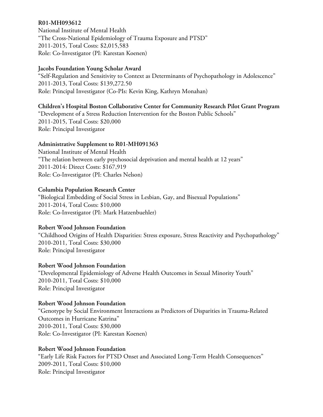### **R01-MH093612**

National Institute of Mental Health "The Cross-National Epidemiology of Trauma Exposure and PTSD" 2011-2015, Total Costs: \$2,015,583 Role: Co-Investigator (PI: Karestan Koenen)

# **Jacobs Foundation Young Scholar Award**

"Self-Regulation and Sensitivity to Context as Determinants of Psychopathology in Adolescence" 2011-2013, Total Costs: \$139,272.50 Role: Principal Investigator (Co-PIs: Kevin King, Kathryn Monahan)

# **Children's Hospital Boston Collaborative Center for Community Research Pilot Grant Program**

"Development of a Stress Reduction Intervention for the Boston Public Schools" 2011-2015, Total Costs: \$20,000 Role: Principal Investigator

### **Administrative Supplement to R01-MH091363**

National Institute of Mental Health "The relation between early psychosocial deprivation and mental health at 12 years" 2011-2014: Direct Costs: \$167,919 Role: Co-Investigator (PI: Charles Nelson)

### **Columbia Population Research Center**

"Biological Embedding of Social Stress in Lesbian, Gay, and Bisexual Populations" 2011-2014, Total Costs: \$10,000 Role: Co-Investigator (PI: Mark Hatzenbuehler)

### **Robert Wood Johnson Foundation**

"Childhood Origins of Health Disparities: Stress exposure, Stress Reactivity and Psychopathology" 2010-2011, Total Costs: \$30,000 Role: Principal Investigator

# **Robert Wood Johnson Foundation**

"Developmental Epidemiology of Adverse Health Outcomes in Sexual Minority Youth" 2010-2011, Total Costs: \$10,000 Role: Principal Investigator

# **Robert Wood Johnson Foundation**

"Genotype by Social Environment Interactions as Predictors of Disparities in Trauma-Related Outcomes in Hurricane Katrina" 2010-2011, Total Costs: \$30,000 Role: Co-Investigator (PI: Karestan Koenen)

# **Robert Wood Johnson Foundation**

"Early Life Risk Factors for PTSD Onset and Associated Long-Term Health Consequences" 2009-2011, Total Costs: \$10,000 Role: Principal Investigator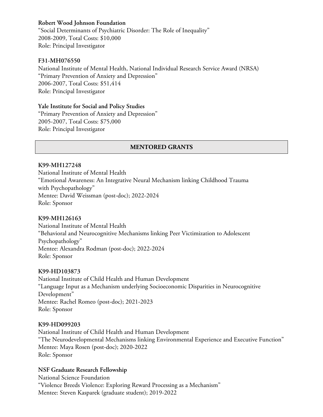# **Robert Wood Johnson Foundation**

"Social Determinants of Psychiatric Disorder: The Role of Inequality" 2008-2009, Total Costs: \$10,000 Role: Principal Investigator

### **F31-MH076550**

National Institute of Mental Health, National Individual Research Service Award (NRSA) "Primary Prevention of Anxiety and Depression" 2006-2007, Total Costs: \$51,414 Role: Principal Investigator

### **Yale Institute for Social and Policy Studies**

"Primary Prevention of Anxiety and Depression" 2005-2007, Total Costs: \$75,000 Role: Principal Investigator

### **MENTORED GRANTS**

### **K99-MH127248**

National Institute of Mental Health "Emotional Awareness: An Integrative Neural Mechanism linking Childhood Trauma with Psychopathology" Mentee: David Weissman (post-doc); 2022-2024 Role: Sponsor

### **K99-MH126163**

National Institute of Mental Health "Behavioral and Neurocognitive Mechanisms linking Peer Victimization to Adolescent Psychopathology" Mentee: Alexandra Rodman (post-doc); 2022-2024 Role: Sponsor

### **K99-HD103873**

National Institute of Child Health and Human Development "Language Input as a Mechanism underlying Socioeconomic Disparities in Neurocognitive Development" Mentee: Rachel Romeo (post-doc); 2021-2023 Role: Sponsor

### **K99-HD099203**

National Institute of Child Health and Human Development "The Neurodevelopmental Mechanisms linking Environmental Experience and Executive Function" Mentee: Maya Rosen (post-doc); 2020-2022 Role: Sponsor

### **NSF Graduate Research Fellowship**

National Science Foundation "Violence Breeds Violence: Exploring Reward Processing as a Mechanism" Mentee: Steven Kasparek (graduate student); 2019-2022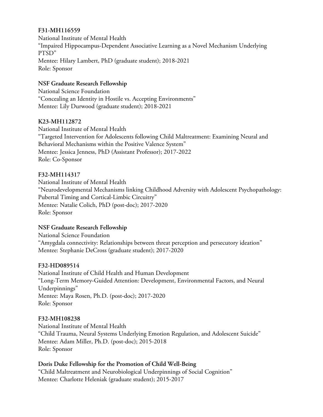# **F31-MH116559**

National Institute of Mental Health "Impaired Hippocampus-Dependent Associative Learning as a Novel Mechanism Underlying PTSD" Mentee: Hilary Lambert, PhD (graduate student); 2018-2021 Role: Sponsor

# **NSF Graduate Research Fellowship**

National Science Foundation "Concealing an Identity in Hostile vs. Accepting Environments" Mentee: Lily Durwood (graduate student); 2018-2021

# **K23-MH112872**

National Institute of Mental Health "Targeted Intervention for Adolescents following Child Maltreatment: Examining Neural and Behavioral Mechanisms within the Positive Valence System" Mentee: Jessica Jenness, PhD (Assistant Professor); 2017-2022 Role: Co-Sponsor

# **F32-MH114317**

National Institute of Mental Health "Neurodevelopmental Mechanisms linking Childhood Adversity with Adolescent Psychopathology: Pubertal Timing and Cortical-Limbic Circuitry" Mentee: Natalie Colich, PhD (post-doc); 2017-2020 Role: Sponsor

# **NSF Graduate Research Fellowship**

National Science Foundation "Amygdala connectivity: Relationships between threat perception and persecutory ideation" Mentee: Stephanie DeCross (graduate student); 2017-2020

# **F32-HD089514**

National Institute of Child Health and Human Development "Long-Term Memory-Guided Attention: Development, Environmental Factors, and Neural Underpinnings" Mentee: Maya Rosen, Ph.D. (post-doc); 2017-2020 Role: Sponsor

# **F32-MH108238**

National Institute of Mental Health "Child Trauma, Neural Systems Underlying Emotion Regulation, and Adolescent Suicide" Mentee: Adam Miller, Ph.D. (post-doc); 2015-2018 Role: Sponsor

# **Doris Duke Fellowship for the Promotion of Child Well-Being**

"Child Maltreatment and Neurobiological Underpinnings of Social Cognition" Mentee: Charlotte Heleniak (graduate student); 2015-2017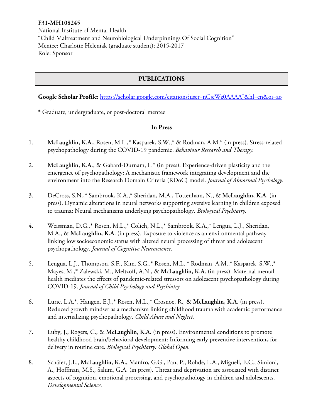# **F31-MH108245**

National Institute of Mental Health "Child Maltreatment and Neurobiological Underpinnings Of Social Cognition" Mentee: Charlotte Heleniak (graduate student); 2015-2017 Role: Sponsor

# **PUBLICATIONS**

### Google Scholar Profile: https://scholar.google.com/citations?user=nCjcWz0AAAAJ&hl=en&oi=ao

**\*** Graduate, undergraduate, or post-doctoral mentee

### **In Press**

- 1. **McLaughlin, K.A.**, Rosen, M.L.,\* Kasparek, S.W.,\* & Rodman, A.M.\* (in press). Stress-related psychopathology during the COVID-19 pandemic. *Behaviour Research and Therapy.*
- 2. **McLaughlin, K.A.**, & Gabard-Durnam, L.\* (in press). Experience-driven plasticity and the emergence of psychopathology: A mechanistic framework integrating development and the environment into the Research Domain Criteria (RDoC) model. *Journal of Abnormal Psychology.*
- 3. DeCross, S.N.,\* Sambrook, K.A.,\* Sheridan, M.A., Tottenham, N., & **McLaughlin, K.A.** (in press). Dynamic alterations in neural networks supporting aversive learning in children exposed to trauma: Neural mechanisms underlying psychopathology. *Biological Psychiatry.*
- 4. Weissman, D.G.,\* Rosen, M.L.,\* Colich, N.L.,\* Sambrook, K.A.,\* Lengua, L.J., Sheridan, M.A., & **McLaughlin, K.A.** (in press). Exposure to violence as an environmental pathway linking low socioeconomic status with altered neural processing of threat and adolescent psychopathology. *Journal of Cognitive Neuroscience.*
- 5. Lengua, L.J., Thompson, S.F., Kim, S.G.,\* Rosen, M.L.,\* Rodman, A.M.,\* Kasparek, S.W.,\* Mayes, M.,\* Zalewski, M., Meltzoff, A.N., & **McLaughlin, K.A.** (in press). Maternal mental health mediates the effects of pandemic-related stressors on adolescent psychopathology during COVID-19. *Journal of Child Psychology and Psychiatry.*
- 6. Lurie, L.A.\*, Hangen, E.J.,\* Rosen, M.L.,\* Crosnoe, R., & **McLaughlin, K.A.** (in press). Reduced growth mindset as a mechanism linking childhood trauma with academic performance and internalizing psychopathology. *Child Abuse and Neglect.*
- 7. Luby, J., Rogers, C., & **McLaughlin, K.A.** (in press). Environmental conditions to promote healthy childhood brain/behavioral development: Informing early preventive interventions for delivery in routine care. *Biological Psychiatry: Global Open.*
- 8. Schäfer, J.L., **McLaughlin, K.A.,** Manfro, G.G., Pan, P., Rohde, L.A., Miguell, E.C., Simioni, A., Hoffman, M.S., Salum, G.A. (in press). Threat and deprivation are associated with distinct aspects of cognition, emotional processing, and psychopathology in children and adolescents. *Developmental Science.*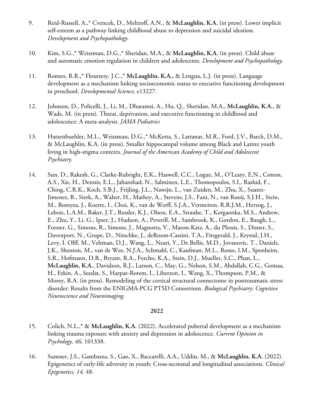- 9. Reid-Russell, A.,\* Cvencek, D., Meltzoff, A.N., & **McLaughlin, K.A.** (in press). Lower implicit self-esteem as a pathway linking childhood abuse to depression and suicidal ideation. *Development and Psychopathology.*
- 10. Kim, S.G.,\* Weissman, D.G.,\* Sheridan, M.A., & **McLaughlin, K.A.** (in press). Child abuse and automatic emotion regulation in children and adolescents. *Development and Psychopathology.*
- 11. Romeo, R.R.,\* Flournoy, J.C.,\* **McLaughlin, K.A.,** & Lengua, L.J. (in press). Language development as a mechanism linking socioeconomic status to executive functioning development in preschool. *Developmental Science,* e13227*.*
- 12. Johnson, D., Policelli, J., Li, M., Dharamsi, A., Hu, Q., Sheridan, M.A., **McLaughlin, K.A.**, & Wade, M. (in press). Threat, deprivation, and executive functioning in childhood and adolescence: A meta-analysis. *JAMA Pediatrics*
- 13. Hatzenbuehler, M.L., Weissman, D.G.,\* McKetta, S., Lattanar, M.R., Ford, J.V., Barch, D.M., & McLaughlin, K.A. (in press). Smaller hippocampal volume among Black and Latinx youth living in high-stigma contexts. *Journal of the American Academy of Child and Adolescent Psychiatry.*
- 14. Sun, D., Rakesh, G., Clarke-Rubright, E.K., Haswell, C.C., Logue, M., O'Leary, E.N., Cotton, A.S., Xie, H., Dennis, E.L., Jahanshad, N., Salminen, L.E., Thomopoulos, S.I., Rashid, F., Ching, C.R.K., Koch, S.B.J., Frijling, J.L., Nawijn, L., van Zuiden, M., Zhu, X., Suarez-Jimenez, B., Sierk, A., Walter, H., Mathey, A., Stevens, J.S., Fani, N., van Rooij, S.J.H., Stein, M., Bomyea, J., Koerte, I., Choi, K., van de Werff, S.J.A., Vermeiren, R.R.J.M., Herzog, J., Lebois, L.A.M., Baker, J.T., Ressler, K.J., Olson, E.A., Straube, T., Korgaonka, M.S., Andrew, E., Zhu, Y., Li, G., Ipser, J., Hudson, A., Peverill, M., Sambrook, K., Gordon, E., Baugh, L., Forster, G., Simons, R., Simons, J., Magnotta, V., Maron-Katz, A., du Plessis, S., Disner, S., Davenport, N., Grupe, D., Nitschke, J., deRoom-Cassini, T.A., Fitzgerald, J., Krystal, J.H., Levy, I. Olff, M., Veltman, D.J., Wang, L., Neari, Y., De Bellis, M.D., Jovanovic, T., Daniels, J.K., Shenton, M., van de Wee, N.J.A., Schmahl, C., Kaufman, M.L., Rosso, I.M., Sponheim, S.R., Hofmann, D.B., Bryant, R.A., Fercho, K.A., Stein, D.J., Mueller, S.C., Phan, L., **McLaughlin, K.A.**, Davidson, R.J., Larson, C., May, G., Nelson, S.M., Abdallah, C.G., Gomaa, H., Etkin, A., Seedat, S., Harpaz-Rotem, I., Liberzon, I., Wang, X., Thompson, P.M., & Morey, R.A. (in press). Remodeling of the cortical structural connectome in posttraumatic stress disorder: Results from the ENIGMA-PCG PTSD Consortium. *Biological Psychiatry: Cognitive Neuroscience and Neuroimaging.*

- 15. Colich, N.L.,\* & **McLaughlin, K.A.** (2022). Accelerated pubertal development as a mechanism linking trauma exposure with anxiety and depression in adolescence. *Current Opinion in Psychology, 46,* 101338.
- 16. Sumner, J.S., Gambazza, S., Gao, X., Baccarelli, A.A., Uddin, M., & **McLaughlin, K.A.** (2022). Epigenetics of early-life adversity in youth: Cross-sectional and longitudinal associations. *Clinical Epigenetics, 14,* 48.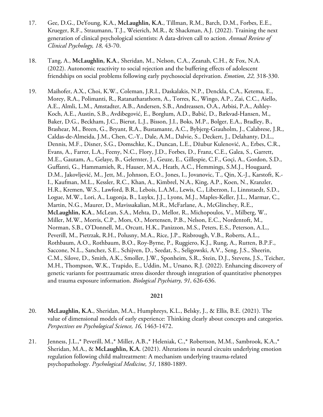- 17. Gee, D.G., DeYoung, K.A., **McLaughlin, K.A.**, Tillman, R.M., Barch, D.M., Forbes, E.E., Krueger, R.F., Straumann, T.J., Weierich, M.R., & Shackman, A.J. (2022). Training the next generation of clinical psychological scientists: A data-driven call to action. *Annual Review of Clinical Psychology, 18,* 43-70.
- 18. Tang, A., **McLaughlin, K.A**., Sheridan, M., Nelson, C.A., Zeanah, C.H., & Fox, N.A. (2022). Autonomic reactivity to social rejection and the buffering effects of adolescent friendships on social problems following early psychosocial deprivation. *Emotion, 22,* 318-330.
- 19. Maihofer, A.X., Choi, K.W., Coleman, J.R.I., Daskalakis, N.P., Denckla, C.A., Ketema, E., Morey, R.A., Polimanti, R., Ratanatharathorn, A., Torres, K., Wingo, A.P., Zai, C.C., Aiello, A.E., Almli, L.M., Amstadter, A.B., Andersen, S.B., Andreassen, O.A., Arbisi, P.A., Ashley-Koch, A.E., Austin, S.B., Avdibegović, E., Borglum, A.D., Babić, D., Bækvad-Hansen, M., Baker, D.G., Beckham, J.C., Bierut, L.J., Bisson, J.I., Boks, M.P., Bolger, E.A., Bradley, B., Brashear, M., Breen, G., Bryant, R.A., Bustamante, A.C., Bybjerg-Grauholm, J., Calabrese, J.R., Caldas-de-Almeida, J.M., Chen, C.-Y., Dale, A.M., Dalvie, S., Deckert, J., Delahanty, D.L., Dennis, M.F., Disner, S.G., Domschke, K., Duncan, L.E., Džubur Kulenović, A., Erbes, C.R., Evans, A., Farrer, L.A., Feeny, N.C., Flory, J.D., Forbes, D., Franz, C.E., Galea, S., Garrett, M.E., Gautam, A., Gelaye, B., Gelernter, J., Geuze, E., Gillespie, C.F., Goçi, A., Gordon, S.D., Guffanti, G., Hammamieh, R., Hauser, M.A., Heath, A.C., Hemmings, S.M.J., Hougaard, D.M., Jakovljević, M., Jett, M., Johnson, E.O., Jones, I., Jovanovic, T., Qin, X.-J., Karstoft, K.- I., Kaufman, M.L., Kessler, R.C., Khan, A., Kimbrel, N.A., King, A.P., Koen, N., Kranzler, H.R., Kremen, W.S., Lawford, B.R., Lebois, L.A.M., Lewis, C., Liberzon, I., Linnstaedt, S.D., Logue, M.W., Lori, A., Lugonja, B., Luykx, J.J., Lyons, M.J., Maples-Keller, J.L., Marmar, C., Martin, N.G., Maurer, D., Mavissakalian, M.R., McFarlane, A., McGlinchey, R.E., **McLaughlin, K.A**., McLean, S.A., Mehta, D., Mellor, R., Michopoulos, V., Milberg, W., Miller, M.W., Morris, C.P., Mors, O., Mortensen, P.B., Nelson, E.C., Nordentoft, M., Norman, S.B., O'Donnell, M., Orcutt, H.K., Panizzon, M.S., Peters, E.S., Peterson, A.L., Peverill, M., Pietrzak, R.H., Polusny, M.A., Rice, J.P., Risbrough, V.B., Roberts, A.L., Rothbaum, A.O., Rothbaum, B.O., Roy-Byrne, P., Ruggiero, K.J., Rung, A., Rutten, B.P.F., Saccone, N.L., Sanchez, S.E., Schijven, D., Seedat, S., Seligowski, A.V., Seng, J.S., Sheerin, C.M., Silove, D., Smith, A.K., Smoller, J.W., Sponheim, S.R., Stein, D.J., Stevens, J.S., Teicher, M.H., Thompson, W.K., Trapido, E., Uddin, M., Ursano, R.J. (2022). Enhancing discovery of genetic variants for posttraumatic stress disorder through integration of quantitative phenotypes and trauma exposure information. *Biological Psychiatry, 91,* 626-636.

- 20. **McLaughlin, K.A.**, Sheridan, M.A., Humphreys, K.L., Belsky, J., & Ellis, B.E. (2021). The value of dimensional models of early experience: Thinking clearly about concepts and categories. *Perspectives on Psychological Science, 16,* 1463-1472.
- 21. Jenness, J.L.,\* Peverill, M.,\* Miller, A.B.,\* Heleniak, C.,\* Robertson, M.M., Sambrook, K.A.,\* Sheridan, M.A., & **McLaughlin, K.A.** (2021). Alterations in neural circuits underlying emotion regulation following child maltreatment: A mechanism underlying trauma-related psychopathology. *Psychological Medicine, 51,* 1880-1889.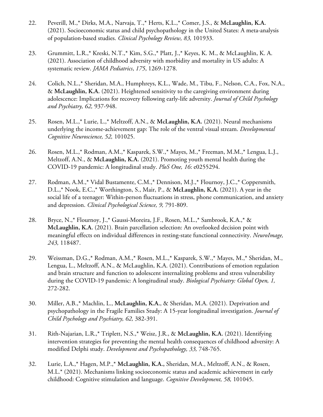- 22. Peverill, M.,\* Dirks, M.A., Narvaja, T.,\* Herts, K.L.,\* Comer, J.S., & **McLaughlin, K.A.**  (2021). Socioeconomic status and child psychopathology in the United States: A meta-analysis of population-based studies. *Clinical Psychology Review, 83,* 101933.
- 23. Grummitt, L.R.,\* Kreski, N.T.,\* Kim, S.G.,\* Platt, J.,\* Keyes, K. M., & McLaughlin, K. A. (2021). Association of childhood adversity with morbidity and mortality in US adults: A systematic review. *JAMA Pediatrics*, *175*, 1269-1278.
- 24. Colich, N.L.,\* Sheridan, M.A., Humphreys, K.L., Wade, M., Tibu, F., Nelson, C.A., Fox, N.A., & **McLaughlin, K.A.** (2021). Heightened sensitivity to the caregiving environment during adolescence: Implications for recovery following early-life adversity. *Journal of Child Psychology and Psychiatry, 62,* 937-948.
- 25. Rosen, M.L.,\* Lurie, L.,\* Meltzoff, A.N., & **McLaughlin, K.A.** (2021). Neural mechanisms underlying the income-achievement gap: The role of the ventral visual stream. *Developmental Cognitive Neuroscience, 52,* 101025.
- 26. Rosen, M.L.,\* Rodman, A.M.,\* Kasparek, S.W.,\* Mayes, M.,\* Freeman, M.M.,\* Lengua, L.J., Meltzoff, A.N., & **McLaughlin, K.A.** (2021). Promoting youth mental health during the COVID-19 pandemic: A longitudinal study. *PloS One, 16*: e0255294.
- 27. Rodman, A.M.,\* Vidal Bustamente, C.M.,\* Dennison, M.J.,\* Flournoy, J.C.,\* Coppersmith, D.L.,\* Nook, E.C.,\* Worthington, S., Mair, P., & **McLaughlin, K.A.** (2021). A year in the social life of a teenager: Within-person fluctuations in stress, phone communication, and anxiety and depression. *Clinical Psychological Science, 9,* 791-809.
- 28. Bryce, N.,\* Flournoy, J.,\* Gaussi-Moreira, J.F., Rosen, M.L.,\* Sambrook, K.A.,\* & **McLaughlin, K.A.** (2021). Brain parcellation selection: An overlooked decision point with meaningful effects on individual differences in resting-state functional connectivity. *NeuroImage, 243,* 118487.
- 29. Weissman, D.G.,\* Rodman, A.M.,\* Rosen, M.L.,\* Kasparek, S.W.,\* Mayes, M.,\* Sheridan, M., Lengua, L., Meltzoff, A.N., & McLaughlin, K.A. (2021). Contributions of emotion regulation and brain structure and function to adolescent internalizing problems and stress vulnerability during the COVID-19 pandemic: A longitudinal study. *Biological Psychiatry: Global Open, 1,*  272-282.
- 30. Miller, A.B.,\* Machlin, L., **McLaughlin, K.A.**, & Sheridan, M.A. (2021). Deprivation and psychopathology in the Fragile Families Study: A 15-year longitudinal investigation. *Journal of Child Psychology and Psychiatry, 62,* 382-391.
- 31. Rith-Najarian, L.R.,\* Triplett, N.S.,\* Weisz, J.R., & **McLaughlin, K.A.** (2021). Identifying intervention strategies for preventing the mental health consequences of childhood adversity: A modified Delphi study. *Development and Psychopathology, 33,* 748-765.
- 32. Lurie, L.A.,\* Hagen, M.P.,\* **McLaughlin, K.A.,** Sheridan, M.A., Meltzoff, A.N., & Rosen, M.L.\* (2021). Mechanisms linking socioeconomic status and academic achievement in early childhood: Cognitive stimulation and language. *Cognitive Development, 58,* 101045.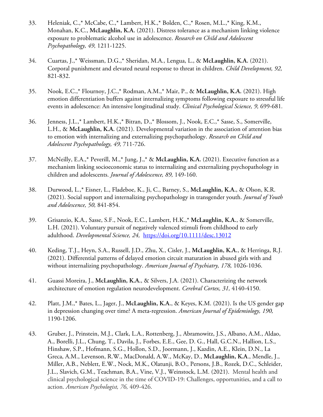- 33. Heleniak, C.,\* McCabe, C.,\* Lambert, H.K.,\* Bolden, C.,\* Rosen, M.L.,\* King, K.M., Monahan, K.C., **McLaughlin, K.A.** (2021). Distress tolerance as a mechanism linking violence exposure to problematic alcohol use in adolescence. *Research on Child and Adolescent Psychopathology, 49,* 1211-1225.
- 34. Cuartas, J.,\* Weissman, D.G.,\* Sheridan, M.A., Lengua, L., & **McLaughlin, K.A.** (2021). Corporal punishment and elevated neural response to threat in children. *Child Development, 92,*  821-832.
- 35. Nook, E.C.,\* Flournoy, J.C.,\* Rodman, A.M.,\* Mair, P., & **McLaughlin, K.A.** (2021). High emotion differentiation buffers against internalizing symptoms following exposure to stressful life events in adolescence: An intensive longitudinal study. *Clinical Psychological Science, 9,* 699-681*.*
- 36. Jenness, J.L.,\* Lambert, H.K.,\* Bitran, D.,\* Blossom, J., Nook, E.C.,\* Sasse, S., Somerville, L.H., & **McLaughlin, K.A.** (2021). Developmental variation in the association of attention bias to emotion with internalizing and externalizing psychopathology. *Research on Child and Adolescent Psychopathology, 49,* 711-726.
- 37. McNeilly, E.A.,\* Peverill, M.,\* Jung, J.,\* & **McLaughlin, K.A.** (2021). Executive function as a mechanism linking socioeconomic status to internalizing and externalizing psychopathology in children and adolescents. *Journal of Adolescence, 89,* 149-160.
- 38. Durwood, L.,\* Eisner, L., Fladeboe, K., Ji, C., Barney, S., **McLaughlin, K.A.**, & Olson, K.R. (2021). Social support and internalizing psychopathology in transgender youth. *Journal of Youth and Adolescence, 50,* 841-854.
- 39. Grisanzio, K.A., Sasse, S.F., Nook, E.C., Lambert, H.K.,\* **McLaughlin, K.A.**, & Somerville, L.H. (2021). Voluntary pursuit of negatively valenced stimuli from childhood to early adulthood. *Developmental Science, 24,* https://doi.org/10.1111/desc.13012
- 40. Keding, T.J., Heyn, S.A., Russell, J.D., Zhu, X., Cisler, J., **McLaughlin, K.A.**, & Herringa, R.J. (2021). Differential patterns of delayed emotion circuit maturation in abused girls with and without internalizing psychopathology. *American Journal of Psychiatry, 178,* 1026-1036.
- 41. Guassi Moreira, J., **McLaughlin, K.A.**, & Silvers, J.A. (2021). Characterizing the network architecture of emotion regulation neurodevelopment. *Cerebral Cortex, 31,* 4140-4150.
- 42. Platt, J.M.,\* Bates, L., Jager, J., **McLaughlin, K.A.**, & Keyes, K.M. (2021). Is the US gender gap in depression changing over time? A meta-regression. *American Journal of Epidemiology, 190,*  1190-1206.
- 43. Gruber, J., Prinstein, M.J., Clark, L.A., Rottenberg, J., Abramowitz, J.S., Albano, A.M., Aldao, A., Borelli, J.L., Chung, T., Davila, J., Forbes, E.E., Gee, D. G., Hall, G.C.N., Hallion, L.S., Hinshaw, S.P., Hofmann, S.G., Hollon, S.D., Joormann, J., Kazdin, A.E., Klein, D.N., La Greca, A.M., Levenson, R.W., MacDonald, A.W., McKay, D., **McLaughlin, K.A**., Mendle, J., Miller, A.B., Neblett, E.W., Nock, M.K., Olatunji, B.O., Persons, J.B., Rozek, D.C., Schleider, J.L., Slavich, G.M., Teachman, B.A., Vine, V.J., Weinstock, L.M. (2021). Mental health and clinical psychological science in the time of COVID-19: Challenges, opportunities, and a call to action. *American Psychologist, 76,* 409-426.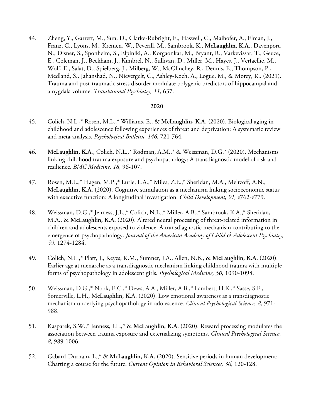44. Zheng, Y., Garrett, M., Sun, D., Clarke-Rubright, E., Haswell, C., Maihofer, A., Elman, J., Franz, C., Lyons, M., Kremen, W., Peverill, M., Sambrook, K., **McLaughlin, K.A.**, Davenport, N., Disner, S., Sponheim, S., Elpiniki, A., Korgaonkar, M., Bryant, R., Varkevissar, T., Geuze, E., Coleman, J., Beckham, J., Kimbrel, N., Sullivan, D., Miller, M., Hayes, J., Verfaellie, M., Wolf, E., Salat, D., Spielberg, J., Milberg, W., McGlinchey, R., Dennis, E., Thompson, P., Medland, S., Jahanshad, N., Nievergelt, C., Ashley-Koch, A., Logue, M., & Morey, R.. (2021). Trauma and post-traumatic stress disorder modulate polygenic predictors of hippocampal and amygdala volume. *Translational Psychiatry, 11,* 637.

- 45. Colich, N.L.,\* Rosen, M.L.,\* Williams, E., & **McLaughlin, K.A.** (2020). Biological aging in childhood and adolescence following experiences of threat and deprivation: A systematic review and meta-analysis. *Psychological Bulletin, 146,* 721-764.
- 46. **McLaughlin, K.A**., Colich, N.L.,\* Rodman, A.M.,\* & Weissman, D.G.\* (2020). Mechanisms linking childhood trauma exposure and psychopathology: A transdiagnostic model of risk and resilience. *BMC Medicine, 18,* 96-107.
- 47. Rosen, M.L.,\* Hagen, M.P.,\* Lurie, L.A.,\* Miles, Z.E.,\* Sheridan, M.A., Meltzoff, A.N., **McLaughlin, K.A.** (2020). Cognitive stimulation as a mechanism linking socioeconomic status with executive function: A longitudinal investigation. *Child Development, 91,* e762-e779.
- 48. Weissman, D.G.,\* Jenness, J.L.,\* Colich, N.L.,\* Miller, A.B.,\* Sambrook, K.A.,\* Sheridan, M.A., & **McLaughlin, K.A.** (2020). Altered neural processing of threat-related information in children and adolescents exposed to violence: A transdiagnostic mechanism contributing to the emergence of psychopathology. *Journal of the American Academy of Child & Adolescent Psychiatry, 59,* 1274-1284.
- 49. Colich, N.L.,\* Platt, J., Keyes, K.M., Sumner, J.A., Allen, N.B., & **McLaughlin, K.A.** (2020). Earlier age at menarche as a transdiagnostic mechanism linking childhood trauma with multiple forms of psychopathology in adolescent girls. *Psychological Medicine, 50,* 1090-1098.
- 50. Weissman, D.G.,\* Nook, E.C.,\* Dews, A.A., Miller, A.B.,\* Lambert, H.K.,\* Sasse, S.F., Somerville, L.H., **McLaughlin, K.A**. (2020). Low emotional awareness as a transdiagnostic mechanism underlying psychopathology in adolescence. *Clinical Psychological Science, 8,* 971- 988.
- 51. Kasparek, S.W.,\* Jenness, J.L.,\* & **McLaughlin, K.A.** (2020). Reward processing modulates the association between trauma exposure and externalizing symptoms. *Clinical Psychological Science, 8,* 989-1006.
- 52. Gabard-Durnam, L.,\* & **McLaughlin, K.A.** (2020). Sensitive periods in human development: Charting a course for the future. *Current Opinion in Behavioral Sciences, 36,* 120-128.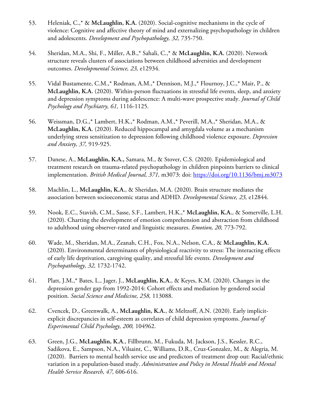- 53. Heleniak, C.,\* & **McLaughlin, K.A.** (2020). Social-cognitive mechanisms in the cycle of violence: Cognitive and affective theory of mind and externalizing psychopathology in children and adolescents. *Development and Psychopathology, 32,* 735-750.
- 54. Sheridan, M.A., Shi, F., Miller, A.B.,\* Sahali, C.,\* & **McLaughlin, K.A.** (2020). Network structure reveals clusters of associations between childhood adversities and development outcomes. *Developmental Science, 23,* e12934.
- 55. Vidal Bustamente, C.M.,\* Rodman, A.M.,\* Dennison, M.J.,\* Flournoy, J.C.,\* Mair, P., & **McLaughlin, K.A.** (2020). Within-person fluctuations in stressful life events, sleep, and anxiety and depression symptoms during adolescence: A multi-wave prospective study. *Journal of Child Psychology and Psychiatry, 61,* 1116-1125.
- 56. Weissman, D.G.,\* Lambert, H.K.,\* Rodman, A.M.,\* Peverill, M.A.,\* Sheridan, M.A., & **McLaughlin, K.A.** (2020). Reduced hippocampal and amygdala volume as a mechanism underlying stress sensitization to depression following childhood violence exposure. *Depression and Anxiety, 37,* 919-925.
- 57. Danese, A., **McLaughlin, K.A.,** Samara, M., & Stover, C.S. (2020). Epidemiological and treatment research on trauma-related psychopathology in children pinpoints barriers to clinical implementation. *British Medical Journal, 371,* m3073: doi: https://doi.org/10.1136/bmj.m3073
- 58. Machlin, L., **McLaughlin, K.A.**, & Sheridan, M.A. (2020). Brain structure mediates the association between socioeconomic status and ADHD. *Developmental Science, 23,* e12844.
- 59. Nook, E.C., Stavish, C.M., Sasse, S.F., Lambert, H.K.,\* **McLaughlin, K.A.**, & Somerville, L.H. (2020). Charting the development of emotion comprehension and abstraction from childhood to adulthood using observer-rated and linguistic measures. *Emotion, 20,* 773-792.
- 60. Wade, M., Sheridan, M.A., Zeanah, C.H., Fox, N.A., Nelson, C.A., & **McLaughlin, K.A.**  (2020). Environmental determinants of physiological reactivity to stress: The interacting effects of early life deprivation, caregiving quality, and stressful life events. *Development and Psychopathology, 32,* 1732-1742.
- 61. Platt, J.M.,\* Bates, L., Jager, J., **McLaughlin, K.A.**, & Keyes, K.M. (2020). Changes in the depression gender gap from 1992-2014: Cohort effects and mediation by gendered social position. *Social Science and Medicine, 258,* 113088.
- 62. Cvencek, D., Greenwalk, A., **McLaughlin, K.A.**, & Meltzoff, A.N. (2020). Early implicitexplicit discrepancies in self-esteem as correlates of child depression symptoms. *Journal of Experimental Child Psychology, 200,* 104962.
- 63. Green, J.G., **McLaughlin, K.A**., Fillbrunn, M., Fukuda, M. Jackson, J.S., Kessler, R.C., Sadikova, E., Sampson, N.A., Vilsaint, C., Williams, D.R., Cruz-Gonzalez, M., & Alegria, M. (2020). Barriers to mental health service use and predictors of treatment drop out: Racial/ethnic variation in a population-based study. *Administration and Policy in Mental Health and Mental Health Service Research, 47,* 606-616.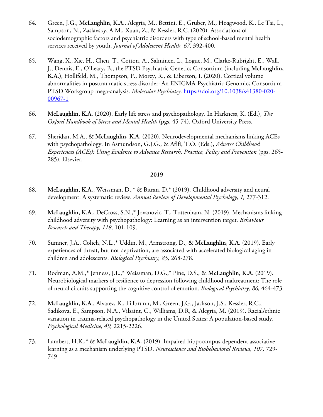- 64. Green, J.G., **McLaughlin, K.A**., Alegria, M., Bettini, E., Gruber, M., Hoagwood, K., Le Tai, L., Sampson, N., Zaslavsky, A.M., Xuan, Z., & Kessler, R.C. (2020). Associations of sociodemographic factors and psychiatric disorders with type of school-based mental health services received by youth. *Journal of Adolescent Health, 67,* 392-400.
- 65. Wang, X., Xie, H., Chen, T., Cotton, A., Salminen, L., Logue, M., Clarke-Rubright, E., Wall, J., Dennis, E., O'Leary, B., the PTSD Psychiatric Genetics Consortium (including **McLaughlin, K.A.)**, Hollifeld, M., Thompson, P., Morey, R., & Liberzon, I. (2020). Cortical volume abnormalities in posttraumatic stress disorder: An ENIGMA-Psychiatric Genomics Consortium PTSD Workgroup mega-analysis. *Molecular Psychiatry*. https://doi.org/10.1038/s41380-020- 00967-1
- 66. **McLaughlin, K.A.** (2020). Early life stress and psychopathology. In Harkness, K. (Ed.), *The Oxford Handbook of Stress and Mental Health* (pgs. 45-74)*.* Oxford University Press.
- 67. Sheridan, M.A., & **McLaughlin, K.A.** (2020). Neurodevelopmental mechanisms linking ACEs with psychopathology. In Asmundson, G.J.G., & Afifi, T.O. (Eds.), *Adverse Childhood Experiences (ACEs): Using Evidence to Advance Research, Practice, Policy and Prevention* (pgs. 265- 285)*.* Elsevier.

- 68. **McLaughlin, K.A.,** Weissman, D.,\* & Bitran, D.\* (2019). Childhood adversity and neural development: A systematic review. *Annual Review of Developmental Psychology, 1,* 277-312.
- 69. **McLaughlin, K.A**., DeCross, S.N.,\* Jovanovic, T., Tottenham, N. (2019). Mechanisms linking childhood adversity with psychopathology: Learning as an intervention target. *Behaviour Research and Therapy, 118,* 101-109.
- 70. Sumner, J.A., Colich, N.L.,\* Uddin, M., Armstrong, D., & **McLaughlin, K.A.** (2019). Early experiences of threat, but not deprivation, are associated with accelerated biological aging in children and adolescents. *Biological Psychiatry, 85,* 268-278.
- 71. Rodman, A.M.,\* Jenness, J.L.,\* Weissman, D.G.,\* Pine, D.S., & **McLaughlin, K.A.** (2019). Neurobiological markers of resilience to depression following childhood maltreatment: The role of neural circuits supporting the cognitive control of emotion. *Biological Psychiatry, 86,* 464-473.
- 72. **McLaughlin, K.A**., Alvarez, K., Fillbrunn, M., Green, J.G., Jackson, J.S., Kessler, R.C., Sadikova, E., Sampson, N.A., Vilsaint, C., Williams, D.R, & Alegria, M. (2019). Racial/ethnic variation in trauma-related psychopathology in the United States: A population-based study. *Psychological Medicine, 49,* 2215-2226.
- 73. Lambert, H.K.,\* & **McLaughlin, K.A.** (2019). Impaired hippocampus-dependent associative learning as a mechanism underlying PTSD. *Neuroscience and Biobehavioral Reviews, 107,* 729- 749.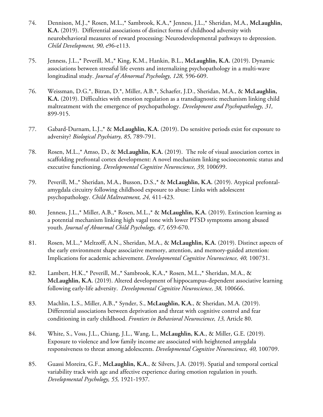- 74. Dennison, M.J.,\* Rosen, M.L.,\* Sambrook, K.A.,\* Jenness, J.L.,\* Sheridan, M.A., **McLaughlin, K.A.** (2019). Differential associations of distinct forms of childhood adversity with neurobehavioral measures of reward processing: Neurodevelopmental pathways to depression. *Child Development, 90,* e96-e113.
- 75. Jenness, J.L.,\* Peverill, M.,\* King, K.M., Hankin, B.L., **McLaughlin, K.A.** (2019). Dynamic associations between stressful life events and internalizing psychopathology in a multi-wave longitudinal study. *Journal of Abnormal Psychology, 128,* 596-609.
- 76. Weissman, D.G.\*, Bitran, D.\*, Miller, A.B.\*, Schaefer, J.D., Sheridan, M.A., & **McLaughlin, K.A.** (2019). Difficulties with emotion regulation as a transdiagnostic mechanism linking child maltreatment with the emergence of psychopathology. *Development and Psychopathology, 31,*  899-915.
- 77. Gabard-Durnam, L.J.,\* & **McLaughlin, K.A.** (2019). Do sensitive periods exist for exposure to adversity? *Biological Psychiatry, 85,* 789-791.
- 78. Rosen, M.L.,\* Amso, D., & **McLaughlin, K.A.** (2019). The role of visual association cortex in scaffolding prefrontal cortex development: A novel mechanism linking socioeconomic status and executive functioning. *Developmental Cognitive Neuroscience, 39,* 100699.
- 79. Peverill, M.,\* Sheridan, M.A., Busson, D.S.,\* & **McLaughlin, K.A.** (2019). Atypical prefontalamygdala circuitry following childhood exposure to abuse: Links with adolescent psychopathology. *Child Maltreatment, 24,* 411-423.
- 80. Jenness, J.L.,\* Miller, A.B.,\* Rosen, M.L.,\* & **McLaughlin, K.A.** (2019). Extinction learning as a potential mechanism linking high vagal tone with lower PTSD symptoms among abused youth. *Journal of Abnormal Child Psychology, 47,* 659-670.
- 81. Rosen, M.L.,\* Meltzoff, A.N., Sheridan, M.A., & **McLaughlin, K.A.** (2019). Distinct aspects of the early environment shape associative memory, attention, and memory-guided attention: Implications for academic achievement. *Developmental Cognitive Neuroscience, 40,* 100731.
- 82. Lambert, H.K.,\* Peverill, M.,\* Sambrook, K.A.,\* Rosen, M.L.,\* Sheridan, M.A., & **McLaughlin, K.A.** (2019). Altered development of hippocampus-dependent associative learning following early-life adversity. *Developmental Cognitive Neuroscience, 38,* 100666.
- 83. Machlin, L.S., Miller, A.B.,\* Synder, S., **McLaughlin, K.A.**, & Sheridan, M.A. (2019). Differential associations between deprivation and threat with cognitive control and fear conditioning in early childhood. *Frontiers in Behavioral Neuroscience, 13,* Article 80.
- 84. White, S., Voss, J.L., Chiang, J.L., Wang, L., **McLaughlin, K.A.**, & Miller, G.E. (2019). Exposure to violence and low family income are associated with heightened amygdala responsiveness to threat among adolescents. *Developmental Cognitive Neuroscience, 40,* 100709.
- 85. Guassi Moreira, G.F., **McLaughlin, K.A.**, & Silvers, J.A. (2019). Spatial and temporal cortical variability track with age and affective experience during emotion regulation in youth. *Developmental Psychology, 55,* 1921-1937.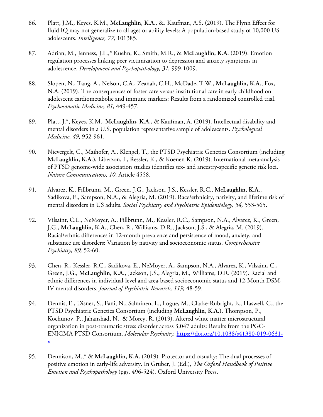- 86. Platt, J.M., Keyes, K.M., **McLaughlin, K.A.**, &. Kaufman, A.S. (2019). The Flynn Effect for fluid IQ may not generalize to all ages or ability levels: A population-based study of 10,000 US adolescents. *Intelligence, 77,* 101385.
- 87. Adrian, M., Jenness, J.L.,\* Kuehn, K., Smith, M.R., & **McLaughlin, K.A.** (2019). Emotion regulation processes linking peer victimization to depression and anxiety symptoms in adolescence. *Development and Psychopathology, 31,* 999-1009.
- 88. Slopen, N., Tang, A., Nelson, C.A., Zeanah, C.H., McDade, T.W., **McLaughlin, K.A.**, Fox, N.A. (2019). The consequences of foster care versus institutional care in early childhood on adolescent cardiometabolic and immune markers: Results from a randomized controlled trial. *Psychosomatic Medicine, 81,* 449-457.
- 89. Platt, J.\*, Keyes, K.M., **McLaughlin, K.A.**, & Kaufman, A. (2019). Intellectual disability and mental disorders in a U.S. population representative sample of adolescents. *Psychological Medicine, 49,* 952-961.
- 90. Nievergelt, C., Maihofer, A., Klengel, T., the PTSD Psychiatric Genetics Consortium (including **McLaughlin, K.A.),** Liberzon, I., Ressler, K., & Koenen K. (2019). International meta-analysis of PTSD genome-wide association studies identifies sex- and ancestry-specific genetic risk loci. *Nature Communications, 10,* Article 4558.
- 91. Alvarez, K., Fillbrunn, M., Green, J.G., Jackson, J.S., Kessler, R.C., **McLaughlin, K.A.**, Sadikova, E., Sampson, N.A., & Alegria, M. (2019). Race/ethnicity, nativity, and lifetime risk of mental disorders in US adults. *Social Psychiatry and Psychiatric Epidemiology, 54,* 553-565.
- 92. Vilsaint, C.L., NeMoyer, A., Fillbrunn, M., Kessler, R.C., Sampson, N.A., Alvarez, K., Green, J.G., **McLaughlin, K.A.**, Chen, R., Williams, D.R., Jackson, J.S., & Alegria, M. (2019). Racial/ethnic differences in 12-month prevalence and persistence of mood, anxiety, and substance use disorders: Variation by nativity and socioeconomic status. *Comprehensive Psychiatry, 89,* 52-60.
- 93. Chen, R., Kessler, R.C., Sadikova, E., NeMoyer, A., Sampson, N.A., Alvarez, K., Vilsaint, C., Green, J.G., **McLaughlin, K.A.**, Jackson, J.S., Alegria, M., Williams, D.R. (2019). Racial and ethnic differences in individual-level and area-based socioeconomic status and 12-Month DSM-IV mental disorders. *Journal of Psychiatric Research, 119,* 48-59.
- 94. Dennis, E., Disner, S., Fani, N., Salminen, L., Logue, M., Clarke-Rubright, E., Haswell, C., the PTSD Psychiatric Genetics Consortium (including **McLaughlin, K.A.)**, Thompson, P., Kochunov, P., Jahanshad, N., & Morey, R. (2019). Altered white matter microstructural organization in post-traumatic stress disorder across 3,047 adults: Results from the PGC-ENIGMA PTSD Consortium. *Molecular Psychiatry.* https://doi.org/10.1038/s41380-019-0631 x
- 95. Dennison, M.,\* & **McLaughlin, K.A.** (2019). Protector and casualty: The dual processes of positive emotion in early-life adversity. In Gruber, J. (Ed.), *The Oxford Handbook of Positive Emotion and Psychopathology* (pgs. 496-524)*.* Oxford University Press.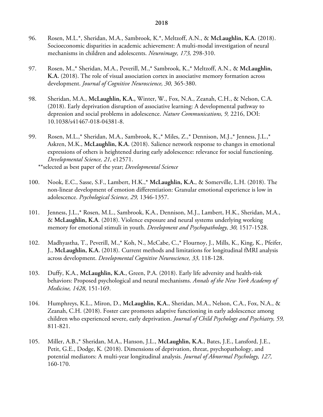- 96. Rosen, M.L.\*, Sheridan, M.A., Sambrook, K.\*, Meltzoff, A.N., & **McLaughlin, K.A.** (2018). Socioeconomic disparities in academic achievement: A multi-modal investigation of neural mechanisms in children and adolescents. *Neuroimage, 173,* 298-310.
- 97. Rosen, M.,\* Sheridan, M.A., Peverill, M.,\* Sambrook, K.,\* Meltzoff, A.N., & **McLaughlin, K.A.** (2018). The role of visual association cortex in associative memory formation across development. *Journal of Cognitive Neuroscience, 30,* 365-380.
- 98. Sheridan, M.A., **McLaughlin, K.A.,** Winter, W., Fox, N.A., Zeanah, C.H., & Nelson, C.A. (2018). Early deprivation disruption of associative learning: A developmental pathway to depression and social problems in adolescence. *Nature Communications, 9,* 2216, DOI: 10.1038/s41467-018-04381-8.
- 99. Rosen, M.L.,\* Sheridan, M.A., Sambrook, K.,\* Miles, Z.,\* Dennison, M.J.,\* Jenness, J.L.,\* Askren, M.K., **McLaughlin, K.A.** (2018). Salience network response to changes in emotional expressions of others is heightened during early adolescence: relevance for social functioning. *Developmental Science, 21,* e12571.

\*\*selected as best paper of the year; *Developmental Science*

- 100. Nook, E.C., Sasse, S.F., Lambert, H.K.,\* **McLaughlin, K.A.**, & Somerville, L.H. (2018). The non-linear development of emotion differentiation: Granular emotional experience is low in adolescence. *Psychological Science, 29,* 1346-1357.
- 101. Jenness, J.L.,\* Rosen, M.L., Sambrook, K.A., Dennison, M.J., Lambert, H.K., Sheridan, M.A., & **McLaughlin, K.A**. (2018). Violence exposure and neural systems underlying working memory for emotional stimuli in youth. *Development and Psychopathology, 30,* 1517-1528.
- 102. Madhyastha, T., Peverill, M.,\* Koh, N., McCabe, C.,\* Flournoy, J., Mills, K., King, K., Pfeifer, J., **McLaughlin, K.A.** (2018). Current methods and limitations for longitudinal fMRI analysis across development. *Developmental Cognitive Neuroscience, 33,* 118-128.
- 103. Duffy, K.A., **McLaughlin, K.A.**, Green, P.A. (2018). Early life adversity and health-risk behaviors: Proposed psychological and neural mechanisms. *Annals of the New York Academy of Medicine, 1428,* 151-169.
- 104. Humphreys, K.L., Miron, D., **McLaughlin, K.A.**, Sheridan, M.A., Nelson, C.A., Fox, N.A., & Zeanah, C.H. (2018). Foster care promotes adaptive functioning in early adolescence among children who experienced severe, early deprivation. *Journal of Child Psychology and Psychiatry, 59,*  811-821.
- 105. Miller, A.B.,\* Sheridan, M.A., Hanson, J.L., **McLaughlin, K.A.**, Bates, J.E., Lansford, J.E., Petit, G.E., Dodge, K. (2018). Dimensions of deprivation, threat, psychopathology, and potential mediators: A multi-year longitudinal analysis. *Journal of Abnormal Psychology, 127,*  160-170.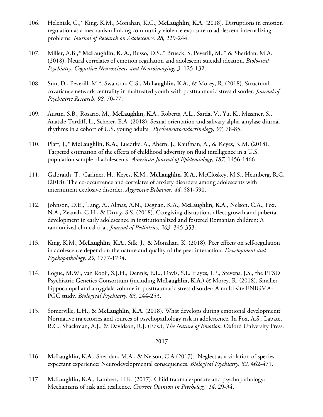- 106. Heleniak, C.,\* King, K.M., Monahan, K.C., **McLaughlin, K.A**. (2018). Disruptions in emotion regulation as a mechanism linking community violence exposure to adolescent internalizing problems. *Journal of Research on Adolescence, 28,* 229-244.
- 107. Miller, A.B.,\* **McLaughlin, K. A.,** Busso, D.S.,\* Brueck, S. Peverill, M.,\* & Sheridan, M.A. (2018). Neural correlates of emotion regulation and adolescent suicidal ideation. *Biological Psychiatry: Cognitive Neuroscience and Neuroimaging, 3,* 125-132.
- 108. Sun, D., Peverill, M.\*, Swanson, C.S., **McLaughlin, K.A.**, & Morey, R. (2018). Structural covariance network centrality in maltreated youth with posttraumatic stress disorder. *Journal of Psychiatric Research, 98,* 70-77.
- 109. Austin, S.B., Rosario, M., **McLaughlin, K.A.**, Roberts, A.L., Sarda, V., Yu, K., Missmer, S., Anatale-Tardiff, L., Scherer, E.A. (2018). Sexual orientation and salivary alpha-amylase diurnal rhythms in a cohort of U.S. young adults. *Psychoneuroendocrinology, 97,* 78-85.
- 110. Platt, J.,\* **McLaughlin, K.A.**, Luedtke, A., Ahern, J., Kaufman, A., & Keyes, K.M. (2018). Targeted estimation of the effects of childhood adversity on fluid intelligence in a U.S. population sample of adolescents. *American Journal of Epidemiology, 187,* 1456-1466.
- 111. Galbraith, T., Carliner, H., Keyes, K.M., **McLaughlin, K.A.**, McCloskey, M.S., Heimberg, R.G. (2018). The co-occurrence and correlates of anxiety disorders among adolescents with intermittent explosive disorder. *Aggressive Behavior, 44,* 581-590.
- 112. Johnson, D.E., Tang, A., Almas, A.N., Degnan, K.A., **McLaughlin, K.A.**, Nelson, C.A., Fox, N.A., Zeanah, C.H., & Drury, S.S. (2018). Caregiving disruptions affect growth and pubertal development in early adolescence in institutionalized and fostered Romanian children: A randomized clinical trial. *Journal of Pediatrics, 203,* 345-353.
- 113. King, K.M., **McLaughlin, K.A.**, Silk, J., & Monahan, K. (2018). Peer effects on self-regulation in adolescence depend on the nature and quality of the peer interaction. *Development and Psychopathology, 29,* 1777-1794.
- 114. Logue, M.W., van Rooij, S.J.H., Dennis, E.L., Davis, S.L. Hayes, J.P., Stevens, J.S., the PTSD Psychiatric Genetics Consortium (including **McLaughlin, K.A.)** & Morey, R. (2018). Smaller hippocampal and amygdala volume in posttraumatic stress disorder: A multi-site ENIGMA-PGC study. *Biological Psychiatry, 83,* 244-253.
- 115. Somerville, L.H., & **McLaughlin, K.A.** (2018). What develops during emotional development? Normative trajectories and sources of psychopathology risk in adolescence. In Fox, A.S., Lapate, R.C., Shackman, A.J., & Davidson, R.J. (Eds.), *The Nature of Emotion.* Oxford University Press.

- 116. **McLaughlin, K.A**., Sheridan, M.A., & Nelson, C.A (2017). Neglect as a violation of speciesexpectant experience: Neurodevelopmental consequences. *Biological Psychiatry, 82,* 462-471.
- 117. **McLaughlin, K.A**., Lambert, H.K. (2017). Child trauma exposure and psychopathology: Mechanisms of risk and resilience. *Current Opinion in Psychology, 14,* 29-34.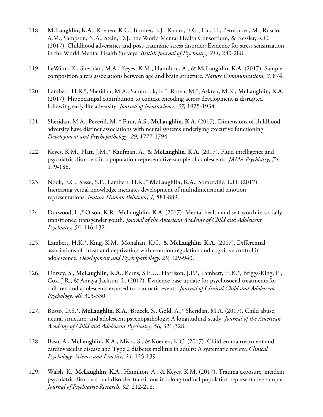- 118. **McLaughlin, K.A.**, Koenen, K.C., Bromet, E.J., Karam, E.G., Liu, H., Petukhova, M., Ruscio, A.M., Sampson, N.A., Stein, D.J., the World Mental Health Consortium, & Kessler, R.C. (2017). Childhood adversities and post-traumatic stress disorder: Evidence for stress sensitization in the World Mental Health Surveys. *British Journal of Psychiatry, 211,* 280-288.
- 119. LeWinn, K., Sheridan, M.A., Keyes, K.M., Hamilton, A., & **McLaughlin, K.A.** (2017). Sample composition alters associations between age and brain structure. *Nature Communications, 8,* 874.
- 120. Lambert, H.K.\*, Sheridan, M.A., Sambrook, K.\*, Rosen, M.\*, Askren, M.K., **McLaughlin, K.A.**  (2017). Hippocampal contribution to context encoding across development is disrupted following early-life adversity. *Journal of Neuroscience, 37,* 1925-1934.
- 121. Sheridan, M.A., Peverill, M.,\* Finn, A.S., **McLaughlin, K.A.** (2017). Dimensions of childhood adversity have distinct associations with neural systems underlying executive functioning. *Development and Psychopathology, 29,* 1777-1794.
- 122. Keyes, K.M., Platt, J.M.,\* Kaufman, A., & **McLaughlin, K.A.** (2017). Fluid intelligence and psychiatric disorders in a population representative sample of adolescents. *JAMA Psychiatry, 74,*  179-188.
- 123. Nook, E.C., Sasse, S.F., Lambert, H.K.,\* **McLaughlin, K.A.**, Somerville, L.H. (2017). Increasing verbal knowledge mediates development of multidimensional emotion representations. *Nature Human Behavior, 1,* 881-889.
- 124. Durwood, L.,\* Olson, K.R., **McLaughlin, K.A**. (2017). Mental health and self-worth in sociallytransitioned transgender youth. *Journal of the American Academy of Child and Adolescent Psychiatry, 56,* 116-132.
- 125. Lambert, H.K.\*, King, K.M., Monahan, K.C., & **McLaughlin, K.A.** (2017). Differential associations of threat and deprivation with emotion regulation and cognitive control in adolescence. *Development and Psychopathology, 29,* 929-940.
- 126. Dorsey, S., **McLaughlin, K.A**., Kerns, S.E.U., Harrison, J.P.\*, Lambert, H.K.\*, Briggs-King, E., Cox, J.R., & Amaya-Jackson, L. (2017). Evidence base update for psychosocial treatments for children and adolescents exposed to traumatic events. *Journal of Clinical Child and Adolescent Psychology, 46,* 303-330.
- 127. Busso, D.S.\*, **McLaughlin, K.A**., Brueck, S., Gold, A.,\* Sheridan, M.A. (2017). Child abuse, neural structure, and adolescent psychopathology: A longitudinal study. *Journal of the American Academy of Child and Adolescent Psychiatry, 56,* 321-328.
- 128. Basu, A., **McLaughlin, K.A.,** Misra, S., & Koenen, K.C. (2017). Children maltreatment and cardiovascular disease and Type 2 diabetes mellitus in adults: A systematic review. *Clinical Psychology: Science and Practice, 24,* 125-139.
- 129. Walsh, K., **McLaughlin, K.A.**, Hamilton, A., & Keyes, K.M. (2017). Trauma exposure, incident psychiatric disorders, and disorder transitions in a longitudinal population representative sample. *Journal of Psychiatric Research, 92,* 212-218.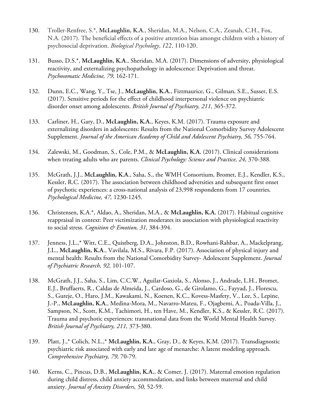- 130. Troller-Renfree, S.\*, **McLaughlin, K.A**., Sheridan, M.A., Nelson, C.A., Zeanah, C.H., Fox, N.A. (2017). The beneficial effects of a positive attention bias amongst children with a history of psychosocial deprivation. *Biological Psychology, 122,* 110-120.
- 131. Busso, D.S.\*, **McLaughlin, K.A**., Sheridan, M.A. (2017). Dimensions of adversity, physiological reactivity, and externalizing psychopathology in adolescence: Deprivation and threat. *Psychosomatic Medicine, 79,* 162-171.
- 132. Dunn, E.C., Wang, Y., Tse, J., **McLaughlin, K.A.**, Fiztmaurice, G., Gilman, S.E., Susser, E.S. (2017). Sensitive periods for the effect of childhood interpersonal violence on psychiatric disorder onset among adolescents. *British Journal of Psychiatry, 211,* 365-372.
- 133. Carliner, H., Gary, D., **McLaughlin, K.A.**, Keyes, K.M. (2017). Trauma exposure and externalizing disorders in adolescents: Results from the National Comorbidity Survey Adolescent Supplement. *Journal of the American Academy of Child and Adolescent Psychiatry, 56,* 755-764.
- 134. Zalewski, M., Goodman, S., Cole, P.M., & **McLaughlin, K.A.** (2017). Clinical considerations when treating adults who are parents. *Clinical Psychology: Science and Practice, 24,* 370-388.
- 135. McGrath, J.J., **McLaughlin, K.A**., Saha, S., the WMH Consortium, Bromet, E.J., Kendler, K.S., Kessler, R.C. (2017). The association between childhood adversities and subsequent first onset of psychotic experiences: a cross-national analysis of 23,998 respondents from 17 countries*. Psychological Medicine, 47,* 1230-1245.
- 136. Christensen, K.A.\*, Aldao, A., Sheridan, M.A., & **McLaughlin, K.A.** (2017). Habitual cognitive reappraisal in context: Peer victimization moderates its association with physiological reactivity to social stress. *Cognition & Emotion, 31,* 384-394.
- 137. Jenness, J.L.,\* Witt, C.E., Quistberg, D.A., Johnston, B.D., Rowhani-Rahbar, A., Mackelprang, J.L., **McLaughlin, K.A**., Vavilala, M.S., Rivara, F.P. (2017). Association of physical injury and mental health: Results from the National Comorbidity Survey- Adolescent Supplement. *Journal of Psychiatric Research, 92,* 101-107.
- 138. McGrath, J.J., Saha, S., Lim, C.C.W., Aguilar-Gaxiola, S., Alonso, J., Andrade, L.H., Bromet, E.J., Bruffaerts, R., Caldas de Almeida, J., Cardoso, G., de Girolamo, G., Fayyad, J., Florescu, S., Gureje, O., Haro, J.M., Kawakami, N., Koenen, K.C., Kovess-Masfety, V., Lee, S., Lepine, J.-P., **McLaughlin, K.A**., Medina-Mora, M., Navarro-Mateu, F., Ojagbemi, A., Poada-Villa, J., Sampson, N., Scott, K.M., Tachimori, H., ten Have, M., Kendler, K.S., & Kessler, R.C. (2017). Trauma and psychotic experiences: transnational data from the World Mental Health Survey. *British Journal of Psychiatry, 211,* 373-380.
- 139. Platt, J.,\* Colich, N.L.,\* **McLaughlin, K.A.**, Gray, D., & Keyes, K.M. (2017). Transdiagnostic psychiatric risk associated with early and late age of menarche: A latent modeling approach. *Comprehensive Psychiatry, 79,* 70-79.
- 140. Kerns, C., Pincus, D.B., **McLaughlin, K.A.**, & Comer, J. (2017). Maternal emotion regulation during child distress, child anxiety accommodation, and links between maternal and child anxiety. *Journal of Anxiety Disorders, 50,* 52-59.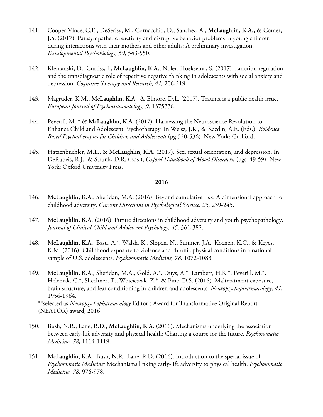- 141. Cooper-Vince, C.E., DeSerisy, M., Cornacchio, D., Sanchez, A., **McLaughlin, K.A.,** & Comer, J.S. (2017). Parasympathetic reactivity and disruptive behavior problems in young children during interactions with their mothers and other adults: A preliminary investigation. *Developmental Psychobiology, 59,* 543-550.
- 142. Klemanski, D., Curtiss, J., **McLaughlin, K.A.**, Nolen-Hoeksema, S. (2017). Emotion regulation and the transdiagnostic role of repetitive negative thinking in adolescents with social anxiety and depression. *Cognitive Therapy and Research, 41,* 206-219.
- 143. Magruder, K.M., **McLaughlin, K.A.**, & Elmore, D.L. (2017). Trauma is a public health issue. *European Journal of Psychotraumatology, 9,* 1375338.
- 144. Peverill, M.,\* & **McLaughlin, K.A.** (2017). Harnessing the Neuroscience Revolution to Enhance Child and Adolescent Psychotherapy. In Weisz, J.R., & Kazdin, A.E. (Eds.), *Evidence Based Psychotherapies for Children and Adolescents* (pg 520-536)*.* New York: Guilford.
- 145. Hatzenbuehler, M.L., & **McLaughlin, K.A.** (2017). Sex, sexual orientation, and depression. In DeRubeis, R.J., & Strunk, D.R. (Eds.), *Oxford Handbook of Mood Disorders,* (pgs. 49-59). New York: Oxford University Press.

- 146. **McLaughlin, K.A**., Sheridan, M.A. (2016). Beyond cumulative risk: A dimensional approach to childhood adversity. *Current Directions in Psychological Science, 25,* 239-245.
- 147. **McLaughlin, K.A**. (2016). Future directions in childhood adversity and youth psychopathology. *Journal of Clinical Child and Adolescent Psychology, 45,* 361-382.
- 148. **McLaughlin, K.A**., Basu, A.\*, Walsh, K., Slopen, N., Sumner, J.A., Koenen, K.C., & Keyes, K.M. (2016). Childhood exposure to violence and chronic physical conditions in a national sample of U.S. adolescents. *Psychosomatic Medicine, 78,* 1072-1083.
- 149. **McLaughlin, K.A**., Sheridan, M.A., Gold, A.\*, Duys, A.\*, Lambert, H.K.\*, Peverill, M.\*, Heleniak, C.\*, Shechner, T., Wojcieszak, Z.\*, & Pine, D.S. (2016). Maltreatment exposure, brain structure, and fear conditioning in children and adolescents. *Neuropsychopharmacology, 41,* 1956-1964.

\*\*selected as *Neuropsychopharmacology* Editor's Award for Transformative Original Report (NEATOR) award, 2016

- 150. Bush, N.R., Lane, R.D., **McLaughlin, K.A.** (2016). Mechanisms underlying the association between early-life adversity and physical health: Charting a course for the future. *Psychosomatic Medicine, 78,* 1114-1119.
- 151. **McLaughlin, K.A.,** Bush, N.R., Lane, R.D. (2016). Introduction to the special issue of *Psychosomatic Medicine:* Mechanisms linking early-life adversity to physical health. *Psychosomatic Medicine, 78,* 976-978.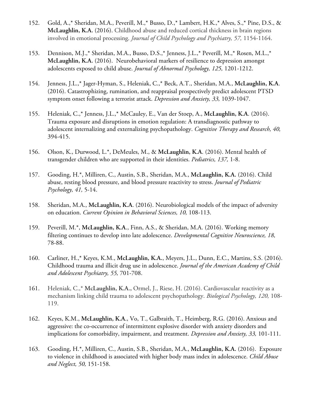- 152. Gold, A.,\* Sheridan, M.A., Peverill, M.,\* Busso, D.,\* Lambert, H.K.,\* Alves, S.,\* Pine, D.S., & **McLaughlin, K.A.** (2016). Childhood abuse and reduced cortical thickness in brain regions involved in emotional processing. *Journal of Child Psychology and Psychiatry, 57,* 1154-1164.
- 153. Dennison, M.J.,\* Sheridan, M.A., Busso, D.S.,\* Jenness, J.L.,\* Peverill, M.,\* Rosen, M.L.,\* **McLaughlin, K.A.** (2016). Neurobehavioral markers of resilience to depression amongst adolescents exposed to child abuse. *Journal of Abnormal Psychology, 125,* 1201-1212.
- 154. Jenness, J.L.,\* Jager-Hyman, S., Heleniak, C.,\* Beck, A.T., Sheridan, M.A., **McLaughlin, K.A**. (2016). Catastrophizing, rumination, and reappraisal prospectively predict adolescent PTSD symptom onset following a terrorist attack. *Depression and Anxiety, 33,* 1039-1047.
- 155. Heleniak, C.,\* Jenness, J.L.,\* McCauley, E., Van der Stoep, A., **McLaughlin, K.A**. (2016). Trauma exposure and disruptions in emotion regulation: A transdiagnostic pathway to adolescent internalizing and externalizing psychopathology. *Cognitive Therapy and Research, 40,*  394-415.
- 156. Olson, K., Durwood, L.\*, DeMeules, M., & **McLaughlin, K.A**. (2016). Mental health of transgender children who are supported in their identities. *Pediatrics, 137,* 1-8.
- 157. Gooding, H.\*, Milliren, C., Austin, S.B., Sheridan, M.A., **McLaughlin, K.A.** (2016). Child abuse, resting blood pressure, and blood pressure reactivity to stress. *Journal of Pediatric Psychology, 41,* 5-14.
- 158. Sheridan, M.A., **McLaughlin, K.A**. (2016). Neurobiological models of the impact of adversity on education. *Current Opinion in Behavioral Sciences, 10,* 108-113.
- 159. Peverill, M.\*, **McLaughlin, K.A**., Finn, A.S., & Sheridan, M.A. (2016). Working memory filtering continues to develop into late adolescence. *Developmental Cognitive Neuroscience, 18,*  78-88.
- 160. Carliner, H.,\* Keyes, K.M., **McLaughlin, K.A.**, Meyers, J.L., Dunn, E.C., Martins, S.S. (2016). Childhood trauma and illicit drug use in adolescence. *Journal of the American Academy of Child and Adolescent Psychiatry, 55,* 701-708.
- 161. Heleniak, C.,\* **McLaughlin, K.A.,** Ormel, J., Riese, H. (2016). Cardiovascular reactivity as a mechanism linking child trauma to adolescent psychopathology. *Biological Psychology, 120,* 108- 119.
- 162. Keyes, K.M., **McLaughlin, K.A**., Vo, T., Galbraith, T., Heimberg, R.G. (2016). Anxious and aggressive: the co-occurrence of intermittent explosive disorder with anxiety disorders and implications for comorbidity, impairment, and treatment. *Depression and Anxiety, 33,* 101-111.
- 163. Gooding, H.\*, Milliren, C., Austin, S.B., Sheridan, M.A., **McLaughlin, K.A.** (2016). Exposure to violence in childhood is associated with higher body mass index in adolescence. *Child Abuse and Neglect, 50,* 151-158.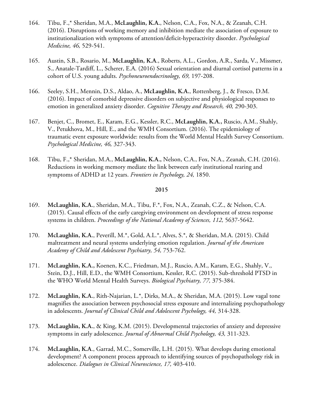- 164. Tibu, F.,\* Sheridan, M.A., **McLaughlin, K.A.**, Nelson, C.A., Fox, N.A., & Zeanah, C.H. (2016). Disruptions of working memory and inhibition mediate the association of exposure to institutionalization with symptoms of attention/deficit-hyperactivity disorder. *Psychological Medicine, 46,* 529-541.
- 165. Austin, S.B., Rosario, M., **McLaughlin, K.A**., Roberts, A.L., Gordon, A.R., Sarda, V., Missmer, S., Anatale-Tardiff, L., Scherer, E.A. (2016) Sexual orientation and diurnal cortisol patterns in a cohort of U.S. young adults. *Psychoneuroendocrinology, 69,* 197-208.
- 166. Seeley, S.H., Mennin, D.S., Aldao, A., **McLaughlin, K.A.**, Rottenberg, J., & Fresco, D.M. (2016). Impact of comorbid depressive disorders on subjective and physiological responses to emotion in generalized anxiety disorder. *Cognitive Therapy and Research, 40,* 290-303.
- 167. Benjet, C., Bromet, E., Karam, E.G., Kessler, R.C., **McLaughlin, K.A.,** Ruscio, A.M., Shahly, V., Petukhova, M., Hill, E., and the WMH Consortium. (2016). The epidemiology of traumatic event exposure worldwide: results from the World Mental Health Survey Consortium. *Psychological Medicine, 46,* 327-343.
- 168. Tibu, F.,\* Sheridan, M.A., **McLaughlin, K.A.,** Nelson, C.A., Fox, N.A., Zeanah, C.H. (2016). Reductions in working memory mediate the link between early institutional rearing and symptoms of ADHD at 12 years. *Frontiers in Psychology, 24,* 1850.

- 169. **McLaughlin, K.A.**, Sheridan, M.A., Tibu, F.\*, Fox, N.A., Zeanah, C.Z., & Nelson, C.A. (2015). Causal effects of the early caregiving environment on development of stress response systems in children. *Proceedings of the National Academy of Sciences*, 112, 5637-5642.
- 170. **McLaughlin, K.A.**, Peverill, M.\*, Gold, A.L.\*, Alves, S.\*, & Sheridan, M.A. (2015). Child maltreatment and neural systems underlying emotion regulation. *Journal of the American Academy of Child and Adolescent Psychiatry, 54,* 753-762.
- 171. **McLaughlin, K.A.,** Koenen, K.C., Friedman, M.J., Ruscio, A.M., Karam, E.G., Shahly, V., Stein, D.J., Hill, E.D., the WMH Consortium, Kessler, R.C. (2015). Sub-threshold PTSD in the WHO World Mental Health Surveys. *Biological Psychiatry, 77,* 375-384.
- 172. **McLaughlin, K.A.**, Rith-Najarian, L.\*, Dirks, M.A., & Sheridan, M.A. (2015). Low vagal tone magnifies the association between psychosocial stress exposure and internalizing psychopathology in adolescents. *Journal of Clinical Child and Adolescent Psychology, 44,* 314-328.
- 173. **McLaughlin, K.A.**, & King, K.M. (2015). Developmental trajectories of anxiety and depressive symptoms in early adolescence. *Journal of Abnormal Child Psychology, 43,* 311-323.
- 174. **McLaughlin, K.A**., Garrad, M.C., Somerville, L.H. (2015). What develops during emotional development? A component process approach to identifying sources of psychopathology risk in adolescence. *Dialogues in Clinical Neuroscience, 17,* 403-410.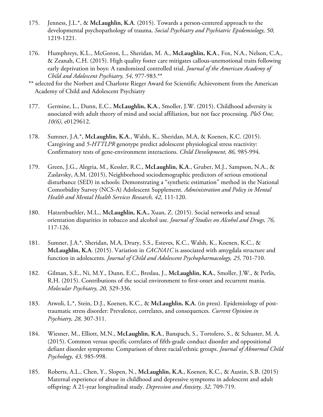- 175. Jenness, J.L.\*, & **McLaughlin, K.A**. (2015). Towards a person-centered approach to the developmental psychopathology of trauma. *Social Psychiatry and Psychiatric Epidemiology, 50,*  1219-1221.
- 176. Humphreys, K.L., McGoron, L., Sheridan, M. A., **McLaughlin, K.A**., Fox, N.A., Nelson, C.A., & Zeanah, C.H. (2015). High quality foster care mitigates callous-unemotional traits following early deprivation in boys: A randomized controlled trial. *Journal of the American Academy of Child and Adolescent Psychiatry, 54,* 977-983.\*\*
- \*\* selected for the Norbert and Charlotte Rieger Award for Scientific Achievement from the American Academy of Child and Adolescent Psychiatry
- 177. Germine, L., Dunn, E.C., **McLaughlin, K.A**., Smoller, J.W. (2015). Childhood adversity is associated with adult theory of mind and social affiliation, but not face processing. *PloS One, 10(6),* e0129612.
- 178. Sumner, J.A.\*, **McLaughlin, K.A**., Walsh, K., Sheridan, M.A, & Koenen, K.C. (2015). Caregiving and *5-HTTLPR* genotype predict adolescent physiological stress reactivity: Confirmatory tests of gene-environment interactions. *Child Development, 86,* 985-994.
- 179. Green, J.G., Alegria, M., Kessler, R.C., **McLaughlin, K.A**., Gruber, M.J., Sampson, N.A., & Zaslavsky, A.M. (2015), Neighborhood sociodemographic predictors of serious emotional disturbance (SED) in schools: Demonstrating a "synthetic estimation" method in the National Comorbidity Survey (NCS-A) Adolescent Supplement. *Administration and Policy in Mental Health and Mental Health Services Research, 42,* 111-120.
- 180. Hatzenbuehler, M.L., **McLaughlin, K.A.,** Xuan, Z. (2015). Social networks and sexual orientation disparities in tobacco and alcohol use. *Journal of Studies on Alcohol and Drugs, 76,*  117-126.
- 181. Sumner, J.A.\*, Sheridan, M.A, Drury, S.S., Esteves, K.C., Walsh, K., Koenen, K.C., & **McLaughlin, K.A**. (2015). Variation in *CACNA1C* is associated with amygdala structure and function in adolescents. *Journal of Child and Adolescent Psychopharmacology, 25,* 701-710.
- 182. Gilman, S.E., Ni, M.Y., Dunn, E.C., Breslau, J., **McLaughlin, K.A.**, Smoller, J.W., & Perlis, R.H. (2015). Contributions of the social environment to first-onset and recurrent mania. *Molecular Psychiatry, 20,* 329-336.
- 183. Atwoli, L.\*, Stein, D.J., Koenen, K.C., & **McLaughlin, K.A.** (in press). Epidemiology of posttraumatic stress disorder: Prevalence, correlates, and consequences. *Current Opinion in Psychiatry, 28,* 307-311.
- 184. Wiesner, M., Elliott, M.N., **McLaughlin, K.A**., Banspach, S., Tortolero, S., & Schuster, M. A. (2015). Common versus specific correlates of fifth-grade conduct disorder and oppositional defiant disorder symptoms: Comparison of three racial/ethnic groups. *Journal of Abnormal Child Psychology, 43,* 985-998.
- 185. Roberts, A.L., Chen, Y., Slopen, N., **McLaughlin, K.A.**, Koenen, K.C., & Austin, S.B. (2015) Maternal experience of abuse in childhood and depressive symptoms in adolescent and adult offspring: A 21-year longitudinal study. *Depression and Anxiety, 32,* 709-719.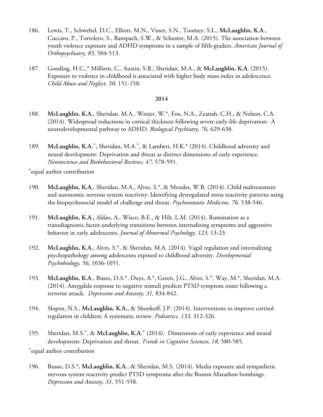- 186. Lewis, T., Schwebel, D.C., Elliott, M.N., Visser, S.N., Toomey, S.L., **McLaughlin, K.A**., Cuccaro, P., Tortolero, S., Banspach, S.W., & Schuster, M.A. (2015). The association between youth violence exposure and ADHD symptoms in a sample of fifth-graders. *American Journal of Orthopsychiatry, 85,* 504-513.
- 187. Gooding, H.C.,\* Milliren, C., Austin, S.B., Sheridan, M.A., & **McLaughlin, K.A.** (2015). Exposure to violence in childhood is associated with higher body mass index in adolescence. *Child Abuse and Neglect, 50,* 151-158.

- 188. **McLaughlin, K.A.**, Sheridan, M.A., Winter, W.\*, Fox, N.A., Zeanah, C.H., & Nelson, C.A. (2014). Widespread reductions in cortical thickness following severe early-life deprivation: A neurodevelopmental pathway to ADHD. *Biological Psychiatry, 76,* 629-638.
- 189. McLaughlin, K.A.<sup>+</sup>, Sheridan, M.A.<sup>+</sup>, & Lambert, H.K.\* (2014). Childhood adversity and neural development: Deprivation and threat as distinct dimensions of early experience. *Neuroscience and Biobehavioral Reviews, 47,* 578-591.

+ equal author contribution

- 190. **McLaughlin, K.A.**, Sheridan, M.A., Alves, S.\*, & Mendes, W.B. (2014). Child maltreatment and autonomic nervous system reactivity: Identifying dysregulated stress reactivity patterns using the biopsychosocial model of challenge and threat. *Psychosomatic Medicine, 76,* 538-546.
- 191. **McLaughlin, K.A.,** Aldao, A., Wisco, B.E., & Hilt, L.M. (2014). Rumination as a transdiagnostic factor underlying transitions between internalizing symptoms and aggressive behavior in early adolescents. *Journal of Abnormal Psychology, 123,* 13-23.
- 192. **McLaughlin, K.A.**, Alves, S.\*, & Sheridan, M.A. (2014). Vagal regulation and internalizing psychopathology among adolescents exposed to childhood adversity. *Developmental Psychobiology, 56,* 1036-1051.
- 193. **McLaughlin, K.A**., Busso, D.S.\*, Duys, A.\*, Green, J.G., Alves, S.\*, Way, M.\*, Sheridan, M.A. (2014). Amygdala response to negative stimuli predicts PTSD symptom onset following a terrorist attack. *Depression and Anxiety, 31,* 834-842.
- 194. Slopen, N.S., **McLaughlin, K.A.,** & Shonkoff, J.P. (2014). Interventions to improve cortisol regulation in children: A systematic review. *Pediatrics, 133,* 312-326.
- 195. Sheridan, M.S.<sup>+</sup>, & McLaughlin, K.A.<sup>+</sup> (2014). Dimensions of early experience and neural development: Deprivation and threat. *Trends in Cognitive Sciences, 18,* 580-585.

+ equal author contribution

196. Busso, D.S.\*, **McLaughlin, K.A.**, & Sheridan, M.S. (2014). Media exposure and sympathetic nervous system reactivity predict PTSD symptoms after the Boston Marathon bombings. *Depression and Anxiety, 31,* 551-558.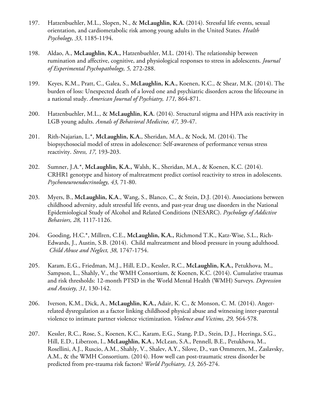- 197. Hatzenbuehler, M.L., Slopen, N., & **McLaughlin, K.A.** (2014). Stressful life events, sexual orientation, and cardiometabolic risk among young adults in the United States. *Health Psychology, 33,* 1185-1194.
- 198. Aldao, A., **McLaughlin, K.A.,** Hatzenbuehler, M.L. (2014). The relationship between rumination and affective, cognitive, and physiological responses to stress in adolescents. *Journal of Experimental Psychopathology, 5,* 272-288.
- 199. Keyes, K.M., Pratt, C., Galea, S., **McLaughlin, K.A.,** Koenen, K.C., & Shear, M.K. (2014). The burden of loss: Unexpected death of a loved one and psychiatric disorders across the lifecourse in a national study. *American Journal of Psychiatry, 171,* 864-871.
- 200. Hatzenbuehler, M.L., & **McLaughlin, K.A.** (2014). Structural stigma and HPA axis reactivity in LGB young adults. *Annals of Behavioral Medicine, 47,* 39-47.
- 201. Rith-Najarian, L.\*, **McLaughlin, K.A.**, Sheridan, M.A., & Nock, M. (2014). The biopsychosocial model of stress in adolescence: Self-awareness of performance versus stress reactivity. *Stress, 17,* 193-203.
- 202. Sumner, J.A.\*, **McLaughlin, K.A.,** Walsh, K., Sheridan, M.A., & Koenen, K.C. (2014). CRHR1 genotype and history of maltreatment predict cortisol reactivity to stress in adolescents. *Psychoneuroendocrinology, 43,* 71-80.
- 203. Myers, B., **McLaughlin, K.A**., Wang, S., Blanco, C., & Stein, D.J. (2014). Associations between childhood adversity, adult stressful life events, and past-year drug use disorders in the National Epidemiological Study of Alcohol and Related Conditions (NESARC). *Psychology of Addictive Behaviors, 28,* 1117-1126.
- 204. Gooding, H.C.\*, Millren, C.E., **McLaughlin, K.A.,** Richmond T.K., Katz-Wise, S.L., Rich-Edwards, J., Austin, S.B. (2014). Child maltreatment and blood pressure in young adulthood. *Child Abuse and Neglect, 38,* 1747-1754.
- 205. Karam, E.G., Friedman, M.J., Hill, E.D., Kessler, R.C., **McLaughlin, K.A.,** Petukhova, M., Sampson, L., Shahly, V., the WMH Consortium, & Koenen, K.C. (2014). Cumulative traumas and risk thresholds: 12-month PTSD in the World Mental Health (WMH) Surveys. *Depression and Anxiety, 31,* 130-142.
- 206. Iverson, K.M., Dick, A., **McLaughlin, K.A.,** Adair, K. C., & Monson, C. M. (2014). Angerrelated dysregulation as a factor linking childhood physical abuse and witnessing inter-parental violence to intimate partner violence victimization. *Violence and Victims, 29,* 564-578.
- 207. Kessler, R.C., Rose, S., Koenen, K.C., Karam, E.G., Stang, P.D., Stein, D.J., Heeringa, S.G., Hill, E.D., Liberzon, I., **McLaughlin, K.A**., McLean, S.A., Pennell, B.E., Petukhova, M., Rosellini, A.J., Ruscio, A.M., Shahly, V., Shalev, A.Y., Silove, D., van Ommeren, M., Zaslavsky, A.M., & the WMH Consortium. (2014). How well can post-traumatic stress disorder be predicted from pre-trauma risk factors? *World Psychiatry, 13,* 265-274.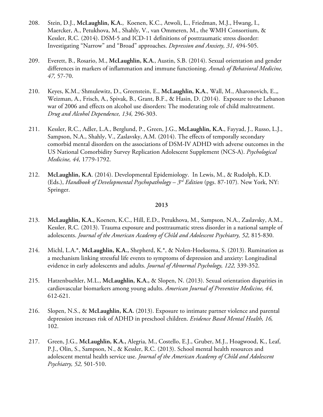- 208. Stein, D.J., **McLaughlin, K.A.**, Koenen, K.C., Atwoli, L., Friedman, M.J., Hwang, I., Maercker, A., Petukhova, M., Shahly, V., van Ommeren, M., the WMH Consortium, & Kessler, R.C. (2014). DSM-5 and ICD-11 definitions of posttraumatic stress disorder: Investigating "Narrow" and "Broad" approaches. *Depression and Anxiety, 31,* 494-505.
- 209. Everett, B., Rosario, M., **McLaughlin, K.A.**, Austin, S.B. (2014). Sexual orientation and gender differences in markers of inflammation and immune functioning. *Annals of Behavioral Medicine, 47,* 57-70.
- 210. Keyes, K.M.,, Shmulewitz, D., Greenstein, E., **McLaughlin, K.A.**, Wall, M., Aharonovich, E.,, Weizman, A., Frisch, A., Spivak, B., Grant, B.F., & Hasin, D. (2014). Exposure to the Lebanon war of 2006 and effects on alcohol use disorders: The moderating role of child maltreatment. *Drug and Alcohol Dependence, 134,* 296-303.
- 211. Kessler, R.C., Adler, L.A., Berglund, P., Green, J.G., **McLaughlin, K.A.**, Fayyad, J., Russo, L.J., Sampson, N.A., Shahly, V., Zaslavsky, A.M. (2014). The effects of temporally secondary comorbid mental disorders on the associations of DSM-IV ADHD with adverse outcomes in the US National Comorbidity Survey Replication Adolescent Supplement (NCS-A). *Psychological Medicine, 44,* 1779-1792.
- 212. **McLaughlin, K.A**. (2014). Developmental Epidemiology. In Lewis, M., & Rudolph, K.D. (Eds.), *Handbook of Developmental Psychopathology – 3rd Edition* (pgs. 87-107)*.* New York, NY: Springer.

- 213. **McLaughlin, K.A.,** Koenen, K.C., Hill, E.D., Petukhova, M., Sampson, N.A., Zaslavsky, A.M., Kessler, R.C. (2013). Trauma exposure and posttraumatic stress disorder in a national sample of adolescents. *Journal of the American Academy of Child and Adolescent Psychiatry, 52,* 815-830.
- 214. Michl, L.A.\*, **McLaughlin, K.A.,** Shepherd, K.\*, & Nolen-Hoeksema, S. (2013). Rumination as a mechanism linking stressful life events to symptoms of depression and anxiety: Longitudinal evidence in early adolescents and adults. *Journal of Abnormal Psychology, 122,* 339-352.
- 215. Hatzenbuehler, M.L., **McLaughlin, K.A.,** & Slopen, N. (2013). Sexual orientation disparities in cardiovascular biomarkers among young adults. *American Journal of Preventive Medicine, 44,*  612-621.
- 216. Slopen, N.S., & **McLaughlin, K.A.** (2013). Exposure to intimate partner violence and parental depression increases risk of ADHD in preschool children. *Evidence Based Mental Health, 16,* 102.
- 217. Green, J.G., **McLaughlin, K.A.,** Alegria, M., Costello, E.J., Gruber, M.J., Hoagwood, K., Leaf, P.J., Olin, S., Sampson, N., & Kessler, R.C. (2013). School mental health resources and adolescent mental health service use. *Journal of the American Academy of Child and Adolescent Psychiatry, 52,* 501-510.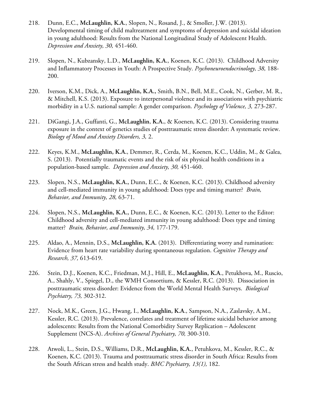- 218. Dunn, E.C., **McLaughlin, K.A.**, Slopen, N., Rosand, J., & Smoller, J.W. (2013). Developmental timing of child maltreatment and symptoms of depression and suicidal ideation in young adulthood: Results from the National Longitudinal Study of Adolescent Health. *Depression and Anxiety, 30,* 451-460.
- 219. Slopen, N., Kubzansky, L.D., **McLaughlin, K.A.**, Koenen, K.C. (2013). Childhood Adversity and Inflammatory Processes in Youth: A Prospective Study. *Psychoneuroendocrinology, 38,* 188- 200.
- 220. Iverson, K.M., Dick, A., **McLaughlin, K.A.,** Smith, B.N., Bell, M.E., Cook, N., Gerber, M. R., & Mitchell, K.S. (2013). Exposure to interpersonal violence and its associations with psychiatric morbidity in a U.S. national sample: A gender comparison. *Psychology of Violence, 3,* 273-287.
- 221. DiGangi, J.A., Guffanti, G., **McLaughlin**, **K.A.**, & Koenen, K.C. (2013). Considering trauma exposure in the context of genetics studies of posttraumatic stress disorder: A systematic review. *Biology of Mood and Anxiety Disorders, 3,* 2.
- 222. Keyes, K.M., **McLaughlin, K.A.**, Demmer, R., Cerda, M., Koenen, K.C., Uddin, M., & Galea, S. (2013). Potentially traumatic events and the risk of six physical health conditions in a population-based sample. *Depression and Anxiety, 30,* 451-460.
- 223. Slopen, N.S., **McLaughlin, K.A.,** Dunn, E.C., & Koenen, K.C. (2013). Childhood adversity and cell-mediated immunity in young adulthood: Does type and timing matter? *Brain, Behavior, and Immunity, 28,* 63-71.
- 224. Slopen, N.S., **McLaughlin, K.A.,** Dunn, E.C., & Koenen, K.C. (2013). Letter to the Editor: Childhood adversity and cell-mediated immunity in young adulthood: Does type and timing matter? *Brain, Behavior, and Immunity, 34,* 177-179.
- 225. Aldao, A., Mennin, D.S., **McLaughlin, K.A.** (2013). Differentiating worry and rumination: Evidence from heart rate variability during spontaneous regulation. *Cognitive Therapy and Research, 37,* 613-619.
- 226. Stein, D.J., Koenen, K.C., Friedman, M.J., Hill, E., **McLaughlin, K.A**., Petukhova, M., Ruscio, A., Shahly, V., Spiegel, D., the WMH Consortium, & Kessler, R.C. (2013). Dissociation in posttraumatic stress disorder: Evidence from the World Mental Health Surveys. *Biological Psychiatry, 73,* 302-312.
- 227. Nock, M.K., Green, J.G., Hwang, I., **McLaughlin, K.A**., Sampson, N.A., Zaslavsky, A.M., Kessler, R.C. (2013). Prevalence, correlates and treatment of lifetime suicidal behavior among adolescents: Results from the National Comorbidity Survey Replication – Adolescent Supplement (NCS-A). *Archives of General Psychiatry, 70,* 300-310.
- 228. Atwoli, L., Stein, D.S., Williams, D.R., **McLaughlin, K.A.**, Petuhkova, M., Kessler, R.C., & Koenen, K.C. (2013). Trauma and posttraumatic stress disorder in South Africa: Results from the South African stress and health study. *BMC Psychiatry, 13(1),* 182.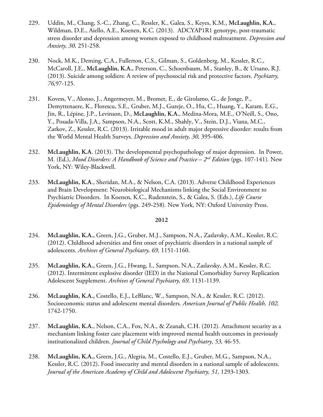- 229. Uddin, M., Chang, S.-C., Zhang, C., Ressler, K., Galea, S., Keyes, K.M., **McLaughlin, K.A.**, Wildman, D.E., Aiello, A.E., Koenen, K.C. (2013). ADCYAP1R1 genotype, post-traumatic stress disorder and depression among women exposed to childhood maltreatment. *Depression and Anxiety, 30,* 251-258.
- 230. Nock, M.K., Deming, C.A., Fullerton, C.S., Gilman, S., Goldenberg, M., Kessler, R.C., McCaroll, J.E., **McLaughlin, K.A.,** Peterson, C., Schoenbaum, M., Stanley, B., & Ursano, R.J. (2013). Suicide among soldiers: A review of psychosocial risk and protective factors. *Psychiatry, 76,*97-125.
- 231. Kovess, V., Alonso, J., Angermeyer, M., Bromet, E., de Girolamo, G., de Jonge, P., Demyttenaere, K., Florescu, S.E., Gruber, M.J., Gureje, O., Hu, C., Huang, Y., Karam, E.G., Jin, R., Lépine, J.P., Levinson, D., **McLaughlin, K.A.**, Medina-Mora, M.E., O'Neill, S., Ono, Y., Posada-Villa, J.A., Sampson, N.A., Scott, K.M., Shahly, V., Stein, D.J., Viana, M.C., Zarkov, Z., Kessler, R.C. (2013). Irritable mood in adult major depressive disorder: results from the World Mental Health Surveys. *Depression and Anxiety, 30,* 395-406.
- 232. **McLaughlin, K.A**. (2013). The developmental psychopathology of major depression. In Power, M. (Ed.), *Mood Disorders: A Handbook of Science and Practice – 2nd Edition* (pgs. 107-141)*.* New York, NY: Wiley-Blackwell.
- 233. **McLaughlin, K.A**., Sheridan, M.A., & Nelson, C.A. (2013). Adverse Childhood Experiences and Brain Development: Neurobiological Mechanisms linking the Social Environment to Psychiatric Disorders. In Koenen, K.C., Rudenstein, S., & Galea, S. (Eds.), *Life Course Epidemiology of Mental Disorders* (pgs. 249-258)*.* New York, NY: Oxford University Press.

- 234. **McLaughlin, K.A.,** Green, J.G., Gruber, M.J., Sampson, N.A., Zaslavsky, A.M., Kessler, R.C. (2012). Childhood adversities and first onset of psychiatric disorders in a national sample of adolescents. *Archives of General Psychiatry, 69,* 1151-1160.
- 235. **McLaughlin, K.A.,** Green, J.G., Hwang, I., Sampson, N.A., Zaslavsky, A.M., Kessler, R.C. (2012). Intermittent explosive disorder (IED) in the National Comorbidity Survey Replication Adolescent Supplement. *Archives of General Psychiatry, 69,* 1131-1139.
- 236. **McLaughlin, K.A.,** Costello, E.J., LeBlanc, W., Sampson, N.A., & Kessler, R.C. (2012). Socioeconomic status and adolescent mental disorders. *American Journal of Public Health, 102,*  1742-1750.
- 237. **McLaughlin, K.A.**, Nelson, C.A., Fox, N.A., & Zeanah, C.H. (2012). Attachment security as a mechanism linking foster care placement with improved mental health outcomes in previously institutionalized children. *Journal of Child Psychology and Psychiatry, 53,* 46-55.
- 238. **McLaughlin, K.A.,** Green, J.G., Alegria, M., Costello, E.J., Gruber, M.G., Sampson, N.A., Kessler, R.C. (2012). Food insecurity and mental disorders in a national sample of adolescents. *Journal of the American Academy of Child and Adolescent Psychiatry, 51,* 1293-1303.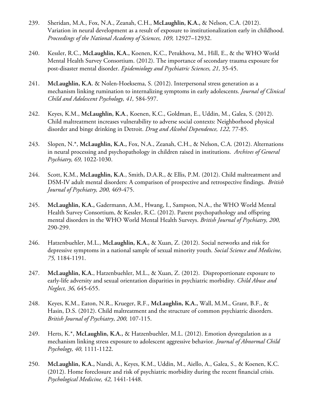- 239. Sheridan, M.A., Fox, N.A., Zeanah, C.H., **McLaughlin, K.A.,** & Nelson, C.A. (2012). Variation in neural development as a result of exposure to institutionalization early in childhood. *Proceedings of the National Academy of Sciences, 109,* 12927–12932.
- 240. Kessler, R.C., **McLaughlin, K.A.,** Koenen, K.C., Petukhova, M., Hill, E., & the WHO World Mental Health Survey Consortium. (2012). The importance of secondary trauma exposure for post-disaster mental disorder. *Epidemiology and Psychiatric Sciences, 21,* 35-45.
- 241. **McLaughlin, K.A.** & Nolen-Hoeksema, S. (2012). Interpersonal stress generation as a mechanism linking rumination to internalizing symptoms in early adolescents. *Journal of Clinical Child and Adolescent Psychology, 41,* 584-597.
- 242. Keyes, K.M., **McLaughlin, K.A**., Koenen, K.C., Goldman, E., Uddin, M., Galea, S. (2012). Child maltreatment increases vulnerability to adverse social contexts: Neighborhood physical disorder and binge drinking in Detroit. *Drug and Alcohol Dependence, 122,* 77-85.
- 243. Slopen, N.\*, **McLaughlin, K.A.,** Fox, N.A., Zeanah, C.H., & Nelson, C.A. (2012). Alternations in neural processing and psychopathology in children raised in institutions. *Archives of General Psychiatry, 69,* 1022-1030.
- 244. Scott, K.M., **McLaughlin, K.A**., Smith, D.A.R., & Ellis, P.M. (2012). Child maltreatment and DSM-IV adult mental disorders: A comparison of prospective and retrospective findings. *British Journal of Psychiatry, 200,* 469-475.
- 245. **McLaughlin, K.A.,** Gadermann, A.M., Hwang, I., Sampson, N.A., the WHO World Mental Health Survey Consortium, & Kessler, R.C. (2012). Parent psychopathology and offspring mental disorders in the WHO World Mental Health Surveys. *British Journal of Psychiatry, 200,*  290-299.
- 246. Hatzenbuehler, M.L., **McLaughlin, K.A.,** & Xuan, Z. (2012). Social networks and risk for depressive symptoms in a national sample of sexual minority youth. *Social Science and Medicine, 75,* 1184-1191.
- 247. **McLaughlin, K.A.**, Hatzenbuehler, M.L., & Xuan, Z. (2012). Disproportionate exposure to early-life adversity and sexual orientation disparities in psychiatric morbidity. *Child Abuse and Neglect, 36,* 645-655.
- 248. Keyes, K.M., Eaton, N.R., Krueger, R.F., **McLaughlin, K.A.,** Wall, M.M., Grant, B.F., & Hasin, D.S. (2012). Child maltreatment and the structure of common psychiatric disorders. *British Journal of Psychiatry*, *200,* 107-115.
- 249. Herts, K.\*, **McLaughlin, K.A.,** & Hatzenbuehler, M.L. (2012). Emotion dysregulation as a mechanism linking stress exposure to adolescent aggressive behavior. *Journal of Abnormal Child Psychology, 40,* 1111-1122.
- 250. **McLaughlin, K.A.,** Nandi, A., Keyes, K.M., Uddin, M., Aiello, A., Galea, S., & Koenen, K.C. (2012). Home foreclosure and risk of psychiatric morbidity during the recent financial crisis. *Psychological Medicine, 42,* 1441-1448.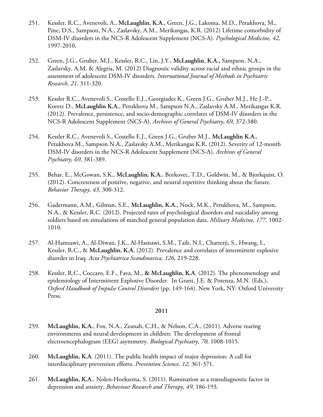- 251. Kessler, R.C., Avenevoli, A., **McLaughlin, K.A**., Green, J.G., Lakoma, M.D., Petukhova, M., Pine, D.S., Sampson, N.A., Zaslavsky, A.M., Merikangas, K.R. (2012) Lifetime comorbidity of DSM-IV disorders in the NCS-R Adolescent Supplement (NCS-A). *Psychological Medicine, 42,*  1997-2010.
- 252. Green, J.G., Gruber, M.J., Kessler, R.C., Lin, J.Y., **McLaughlin**, **K.A.,** Sampson, N.A., Zaslavsky, A.M. & Alegria, M. (2012) Diagnostic validity across racial and ethnic groups in the assessment of adolescent DSM-IV disorders. *International Journal of Methods in Psychiatric Research, 21,* 311-320.
- 253. Kessler R.C., Avenevoli S., Costello E.J., Georgiades K., Green J.G., Gruber M.J., He J.-P., Koretz D., **McLaughlin K.A.**, Petukhova M., Sampson N.A., Zaslavsky A.M., Merikangas K.R. (2012). Prevalence, persistence, and socio-demographic correlates of DSM-IV disorders in the NCS-R Adolescent Supplement (NCS-A). *Archives of General Psychiatry*, *69,* 372-380.
- 254. Kessler R.C., Avenevoli S., Costello E.J., Green J.G., Gruber M.J., **McLaughlin K.A.**, Petukhova M., Sampson N.A., Zaslavsky A.M., Merikangas K.R. (2012). Severity of 12-month DSM-IV disorders in the NCS-R Adolescent Supplement (NCS-A). *Archives of General Psychiatry, 69,* 381-389.
- 255. Behar, E., McGowan, S.K., **McLaughlin, K.A.**, Borkovec, T.D., Goldwin, M., & Bjorkquist, O. (2012). Concreteness of positive, negative, and neutral repetitive thinking about the future. *Behavior Therapy, 43,* 300-312.
- 256. Gadermann, A.M., Gilman, S.E., **McLaughlin, K.A.**, Nock, M.K., Petukhova, M., Sampson, N.A., & Kessler, R.C. (2012). Projected rates of psychological disorders and suicidality among soldiers based on simulations of matched general population data. *Military Medicine, 177,* 1002- 1010.
- 257. Al-Hamzawi, A., Al-Diwan, J.K., Al-Hasnawi, S.M., Taib, N.I., Chatterji, S., Hwang, I., Kessler, R.C., & **McLaughlin, K.A.** (2012). Prevalence and correlates of intermittent explosive disorder in Iraq. *Acta Psychiatrica Scandinavica, 126,* 219-228.
- 258. Kessler, R.C., Coccaro, E.F., Fava, M., **& McLaughlin, K.A**. (2012). The phenomenology and epidemiology of Intermittent Explosive Disorder. In Grant, J.E. & Potenza, M.N. (Eds.), *Oxford Handbook of Impulse Control Disorders* (pp. 149-164). New York, NY: Oxford University Press.

- 259. **McLaughlin, K.A.**, Fox, N.A., Zeanah, C.H., & Nelson, C.A., (2011). Adverse rearing environments and neural development in children: The development of frontal electroencephalogram (EEG) asymmetry. *Biological Psychiatry, 70,* 1008-1015.
- 260. **McLaughlin, K.A**. (2011). The public health impact of major depression: A call for interdisciplinary prevention efforts. *Prevention Science, 12,* 361-371.
- 261. **McLaughlin, K.A**., Nolen-Hoeksema, S. (2011). Rumination as a transdiagnostic factor in depression and anxiety. *Behaviour Research and Therapy, 49,* 186-193.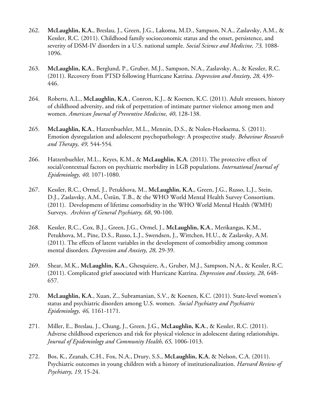- 262. **McLaughlin, K.A.**, Breslau, J., Green, J.G., Lakoma, M.D., Sampson, N.A., Zaslavsky, A.M., & Kessler, R.C. (2011). Childhood family socioeconomic status and the onset, persistence, and severity of DSM-IV disorders in a U.S. national sample. *Social Science and Medicine, 73,* 1088- 1096.
- 263. **McLaughlin, K.A**., Berglund, P., Gruber, M.J., Sampson, N.A., Zaslavsky, A., & Kessler, R.C. (2011). Recovery from PTSD following Hurricane Katrina. *Depression and Anxiety, 28,* 439- 446.
- 264. Roberts, A.L., **McLaughlin, K.A**., Conron, K.J., & Koenen, K.C. (2011). Adult stressors, history of childhood adversity, and risk of perpetration of intimate partner violence among men and women. *American Journal of Preventive Medicine, 40*, 128-138.
- 265. **McLaughlin, K.A**., Hatzenbuehler, M.L., Mennin, D.S., & Nolen-Hoeksema, S. (2011). Emotion dysregulation and adolescent psychopathology: A prospective study. *Behaviour Research and Therapy, 49,* 544-554*.*
- 266. Hatzenbuehler, M.L., Keyes, K.M., & **McLaughlin, K.A**. (2011). The protective effect of social/contextual factors on psychiatric morbidity in LGB populations. *International Journal of Epidemiology, 40,* 1071-1080.
- 267. Kessler, R.C., Ormel, J., Petukhova, M., **McLaughlin, K.A.**, Green, J.G., Russo, L.J., Stein, D.J., Zaslavsky, A.M., Üstün, T.B., & the WHO World Mental Health Survey Consortium. (2011). Development of lifetime comorbidity in the WHO World Mental Health (WMH) Surveys. *Archives of General Psychiatry, 68*, 90-100.
- 268. Kessler, R.C., Cox, B.J., Green, J.G., Ormel, J., **McLaughlin, K.A**., Merikangas, K.M., Petukhova, M., Pine, D.S., Russo, L.J., Swendsen, J., Wittchen, H.U., & Zaslavsky, A.M. (2011). The effects of latent variables in the development of comorbidity among common mental disorders. *Depression and Anxiety, 28,* 29-39.
- 269. Shear, M.K., **McLaughlin, K.A**., Ghesquiere, A., Gruber, M.J., Sampson, N.A., & Kessler, R.C. (2011). Complicated grief associated with Hurricane Katrina. *Depression and Anxiety, 28,* 648- 657*.*
- 270. **McLaughlin, K.A**., Xuan, Z., Subramanian, S.V., & Koenen, K.C. (2011). State-level women's status and psychiatric disorders among U.S. women. *Social Psychiatry and Psychiatric Epidemiology, 46,* 1161-1171.
- 271. Miller, E., Breslau, J., Chung, J., Green, J.G., **McLaughlin, K.A**., & Kessler, R.C. (2011). Adverse childhood experiences and risk for physical violence in adolescent dating relationships. *Journal of Epidemiology and Community Health, 65,* 1006-1013.
- 272. Bos, K., Zeanah, C.H., Fox, N.A., Drury, S.S., **McLaughlin, K.A**, & Nelson, C.A. (2011). Psychiatric outcomes in young children with a history of institutionalization. *Harvard Review of Psychiatry, 19,* 15-24.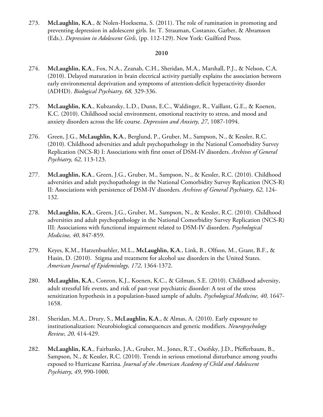273. **McLaughlin, K.A**., & Nolen-Hoeksema, S. (2011). The role of rumination in promoting and preventing depression in adolescent girls. In: T. Strauman, Costanzo, Garber, & Abramson (Eds.). *Depression in Adolescent Girls*, (pp. 112-129). New York: Guilford Press.

- 274. **McLaughlin, K.A**., Fox, N.A., Zeanah, C.H., Sheridan, M.A., Marshall, P.J., & Nelson, C.A. (2010). Delayed maturation in brain electrical activity partially explains the association between early environmental deprivation and symptoms of attention-deficit hyperactivity disorder (ADHD). *Biological Psychiatry, 68,* 329-336.
- 275. **McLaughlin, K.A**., Kubzansky, L.D., Dunn, E.C., Waldinger, R., Vaillant, G.E., & Koenen, K.C. (2010). Childhood social environment, emotional reactivity to stress, and mood and anxiety disorders across the life course. *Depression and Anxiety, 27*, 1087-1094.
- 276. Green, J.G., **McLaughlin, K.A.**, Berglund, P., Gruber, M., Sampson, N., & Kessler, R.C. (2010). Childhood adversities and adult psychopathology in the National Comorbidity Survey Replication (NCS-R) I: Associations with first onset of DSM-IV disorders. *Archives of General Psychiatry, 62,* 113-123.
- 277. **McLaughlin, K.A**., Green, J.G., Gruber, M., Sampson, N., & Kessler, R.C. (2010). Childhood adversities and adult psychopathology in the National Comorbidity Survey Replication (NCS-R) II: Associations with persistence of DSM-IV disorders. *Archives of General Psychiatry, 62,* 124- 132.
- 278. **McLaughlin, K.A**., Green, J.G., Gruber, M., Sampson, N., & Kessler, R.C. (2010). Childhood adversities and adult psychopathology in the National Comorbidity Survey Replication (NCS-R) III: Associations with functional impairment related to DSM-IV disorders. *Psychological Medicine, 40*, 847-859.
- 279. Keyes, K.M., Hatzenbuehler, M.L., **McLaughlin, K.A**., Link, B., Olfson, M., Grant, B.F., & Hasin, D. (2010). Stigma and treatment for alcohol use disorders in the United States. *American Journal of Epidemiology, 172,* 1364-1372.
- 280. **McLaughlin, K.A**., Conron, K.J., Koenen, K.C., & Gilman, S.E. (2010). Childhood adversity, adult stressful life events, and risk of past-year psychiatric disorder: A test of the stress sensitization hypothesis in a population-based sample of adults. *Psychological Medicine, 40,* 1647- 1658.
- 281. Sheridan, M.A., Drury, S., **McLaughlin, K.A**., & Almas, A. (2010). Early exposure to institutionalization: Neurobiological consequences and genetic modifiers. *Neuropsychology Review, 20,* 414-429.
- 282. **McLaughlin, K.A**., Fairbanks, J.A., Gruber, M., Jones, R.T., Osofsky, J.D., Pfefferbaum, B., Sampson, N., & Kessler, R.C. (2010). Trends in serious emotional disturbance among youths exposed to Hurricane Katrina. *Journal of the American Academy of Child and Adolescent Psychiatry, 49*, 990-1000.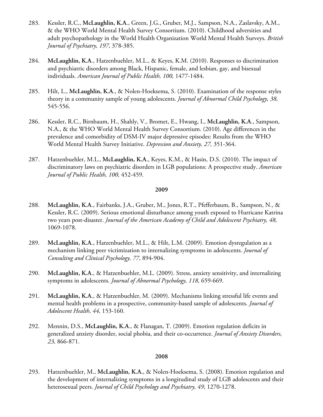- 283. Kessler, R.C., **McLaughlin, K.A**., Green, J.G., Gruber, M.J., Sampson, N.A., Zaslavsky, A.M., & the WHO World Mental Health Survey Consortium. (2010). Childhood adversities and adult psychopathology in the World Health Organization World Mental Health Surveys. *British Journal of Psychiatry, 197*, 378-385.
- 284. **McLaughlin, K.A**., Hatzenbuehler, M.L., & Keyes, K.M. (2010). Responses to discrimination and psychiatric disorders among Black, Hispanic, female, and lesbian, gay, and bisexual individuals. *American Journal of Public Health, 100,* 1477-1484.
- 285. Hilt, L., **McLaughlin, K.A**., & Nolen-Hoeksema, S. (2010). Examination of the response styles theory in a community sample of young adolescents. *Journal of Abnormal Child Psychology, 38,* 545-556.
- 286. Kessler, R.C., Birnbaum, H., Shahly, V., Bromet, E., Hwang, I., **McLaughlin, K.A**., Sampson, N.A., & the WHO World Mental Health Survey Consortium. (2010). Age differences in the prevalence and comorbidity of DSM-IV major depressive episodes: Results from the WHO World Mental Health Survey Initiative. *Depression and Anxiety, 27,* 351-364.
- 287. Hatzenbuehler, M.L., **McLaughlin, K.A**., Keyes, K.M., & Hasin, D.S. (2010). The impact of discriminatory laws on psychiatric disorders in LGB populations: A prospective study. *American Journal of Public Health, 100,* 452-459.

- 288. **McLaughlin, K.A**., Fairbanks, J.A., Gruber, M., Jones, R.T., Pfefferbaum, B., Sampson, N., & Kessler, R.C. (2009). Serious emotional disturbance among youth exposed to Hurricane Katrina two years post-disaster. *Journal of the American Academy of Child and Adolescent Psychiatry, 48,*  1069-1078.
- 289. **McLaughlin, K.A**., Hatzenbuehler, M.L., & Hilt, L.M. (2009). Emotion dysregulation as a mechanism linking peer victimization to internalizing symptoms in adolescents. *Journal of Consulting and Clinical Psychology, 77*, 894-904.
- 290. **McLaughlin, K.A**., & Hatzenbuehler, M.L. (2009). Stress, anxiety sensitivity, and internalizing symptoms in adolescents. *Journal of Abnormal Psychology, 118,* 659-669.
- 291. **McLaughlin, K.A**., & Hatzenbuehler, M. (2009). Mechanisms linking stressful life events and mental health problems in a prospective, community-based sample of adolescents. *Journal of Adolescent Health, 44,* 153-160.
- 292. Mennin, D.S., **McLaughlin, K.A**., & Flanagan, T. (2009). Emotion regulation deficits in generalized anxiety disorder, social phobia, and their co-occurrence. *Journal of Anxiety Disorders, 23,* 866-871.

#### **2008**

293. Hatzenbuehler, M., **McLaughlin, K.A.**, & Nolen-Hoeksema, S. (2008). Emotion regulation and the development of internalizing symptoms in a longitudinal study of LGB adolescents and their heterosexual peers. *Journal of Child Psychology and Psychiatry, 49*, 1270-1278.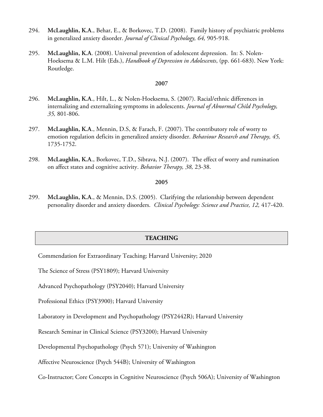- 294. **McLaughlin, K.A**., Behar, E., & Borkovec, T.D. (2008). Family history of psychiatric problems in generalized anxiety disorder. *Journal of Clinical Psychology, 64,* 905-918.
- 295. **McLaughlin, K.A**. (2008). Universal prevention of adolescent depression. In: S. Nolen-Hoeksema & L.M. Hilt (Eds.), *Handbook of Depression in Adolescents*, (pp. 661-683). New York: Routledge.

- 296. **McLaughlin, K.A**., Hilt, L., & Nolen-Hoeksema, S. (2007). Racial/ethnic differences in internalizing and externalizing symptoms in adolescents. *Journal of Abnormal Child Psychology, 35,* 801-806.
- 297. **McLaughlin, K.A**., Mennin, D.S, & Farach, F. (2007). The contributory role of worry to emotion regulation deficits in generalized anxiety disorder. *Behaviour Research and Therapy, 45,*  1735-1752.
- 298. **McLaughlin, K.A**., Borkovec, T.D., Sibrava, N.J. (2007). The effect of worry and rumination on affect states and cognitive activity. *Behavior Therapy, 38,* 23-38.

### **2005**

299. **McLaughlin, K.A**., & Mennin, D.S. (2005). Clarifying the relationship between dependent personality disorder and anxiety disorders. *Clinical Psychology: Science and Practice, 12,* 417-420.

### **TEACHING**

Commendation for Extraordinary Teaching; Harvard University; 2020

The Science of Stress (PSY1809); Harvard University

Advanced Psychopathology (PSY2040); Harvard University

Professional Ethics (PSY3900); Harvard University

Laboratory in Development and Psychopathology (PSY2442R); Harvard University

Research Seminar in Clinical Science (PSY3200); Harvard University

Developmental Psychopathology (Psych 571); University of Washington

Affective Neuroscience (Psych 544B); University of Washington

Co-Instructor; Core Concepts in Cognitive Neuroscience (Psych 506A); University of Washington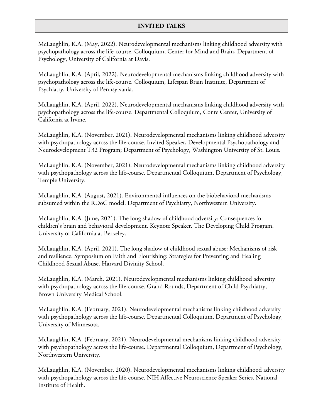# **INVITED TALKS**

McLaughlin, K.A. (May, 2022). Neurodevelopmental mechanisms linking childhood adversity with psychopathology across the life-course. Colloquium, Center for Mind and Brain, Department of Psychology, University of California at Davis.

McLaughlin, K.A. (April, 2022). Neurodevelopmental mechanisms linking childhood adversity with psychopathology across the life-course. Colloquium, Lifespan Brain Institute, Department of Psychiatry, University of Pennsylvania.

McLaughlin, K.A. (April, 2022). Neurodevelopmental mechanisms linking childhood adversity with psychopathology across the life-course. Departmental Colloquium, Conte Center, University of California at Irvine.

McLaughlin, K.A. (November, 2021). Neurodevelopmental mechanisms linking childhood adversity with psychopathology across the life-course. Invited Speaker, Developmental Psychopathology and Neurodevelopment T32 Program; Department of Psychology, Washington University of St. Louis.

McLaughlin, K.A. (November, 2021). Neurodevelopmental mechanisms linking childhood adversity with psychopathology across the life-course. Departmental Colloquium, Department of Psychology, Temple University.

McLaughlin, K.A. (August, 2021). Environmental influences on the biobehavioral mechanisms subsumed within the RDoC model. Department of Psychiatry, Northwestern University.

McLaughlin, K.A. (June, 2021). The long shadow of childhood adversity: Consequences for children's brain and behavioral development. Keynote Speaker. The Developing Child Program. University of California at Berkeley.

McLaughlin, K.A. (April, 2021). The long shadow of childhood sexual abuse: Mechanisms of risk and resilience. Symposium on Faith and Flourishing: Strategies for Preventing and Healing Childhood Sexual Abuse. Harvard Divinity School.

McLaughlin, K.A. (March, 2021). Neurodevelopmental mechanisms linking childhood adversity with psychopathology across the life-course. Grand Rounds, Department of Child Psychiatry, Brown University Medical School.

McLaughlin, K.A. (February, 2021). Neurodevelopmental mechanisms linking childhood adversity with psychopathology across the life-course. Departmental Colloquium, Department of Psychology, University of Minnesota.

McLaughlin, K.A. (February, 2021). Neurodevelopmental mechanisms linking childhood adversity with psychopathology across the life-course. Departmental Colloquium, Department of Psychology, Northwestern University.

McLaughlin, K.A. (November, 2020). Neurodevelopmental mechanisms linking childhood adversity with psychopathology across the life-course. NIH Affective Neuroscience Speaker Series, National Institute of Health.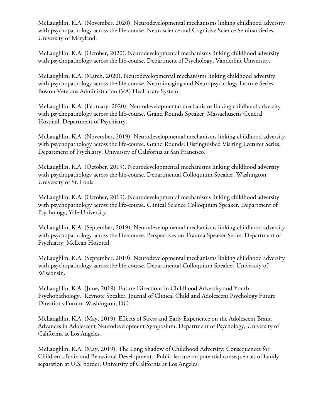McLaughlin, K.A. (November, 2020). Neurodevelopmental mechanisms linking childhood adversity with psychopathology across the life-course. Neuroscience and Cognitive Science Seminar Series, University of Maryland.

McLaughlin, K.A. (October, 2020). Neurodevelopmental mechanisms linking childhood adversity with psychopathology across the life-course. Department of Psychology, Vanderbilt University.

McLaughlin, K.A. (March, 2020). Neurodevelopmental mechanisms linking childhood adversity with psychopathology across the life-course. Neuroimaging and Neuropsychology Lecture Series, Boston Veterans Administration (VA) Healthcare System.

McLaughlin, K.A. (February, 2020). Neurodevelopmental mechanisms linking childhood adversity with psychopathology across the life-course. Grand Rounds Speaker, Massachusetts General Hospital, Department of Psychiatry.

McLaughlin, K.A. (November, 2019). Neurodevelopmental mechanisms linking childhood adversity with psychopathology across the life-course. Grand Rounds; Distinguished Visiting Lecturer Series, Department of Psychiatry, University of California at San Francisco.

McLaughlin, K.A. (October, 2019). Neurodevelopmental mechanisms linking childhood adversity with psychopathology across the life-course. Departmental Colloquium Speaker, Washington University of St. Louis.

McLaughlin, K.A. (October, 2019). Neurodevelopmental mechanisms linking childhood adversity with psychopathology across the life-course. Clinical Science Colloquium Speaker, Department of Psychology, Yale University.

McLaughlin, K.A. (September, 2019). Neurodevelopmental mechanisms linking childhood adversity with psychopathology across the life-course. Perspectives on Trauma Speaker Series, Department of Psychiatry, McLean Hospital.

McLaughlin, K.A. (September, 2019). Neurodevelopmental mechanisms linking childhood adversity with psychopathology across the life-course. Departmental Colloquium Speaker, University of Wisconsin.

McLaughlin, K.A. (June, 2019). Future Directions in Childhood Adversity and Youth Psychopathology. Keynote Speaker, Journal of Clinical Child and Adolescent Psychology Future Directions Forum. Washington, DC.

McLaughlin, K.A. (May, 2019). Effects of Stress and Early Experience on the Adolescent Brain. Advances in Adolescent Neurodevelopment Symposium. Department of Psychology, University of California at Los Angeles.

McLaughlin, K.A. (May, 2019). The Long Shadow of Childhood Adversity: Consequences for Children's Brain and Behavioral Development. Public lecture on potential consequences of family separation at U.S. border, University of California at Los Angeles.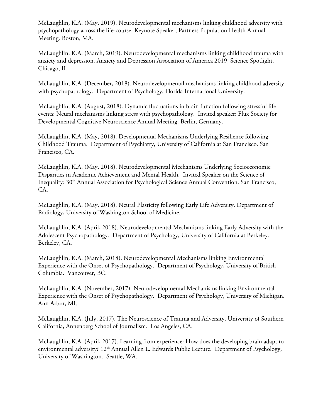McLaughlin, K.A. (May, 2019). Neurodevelopmental mechanisms linking childhood adversity with psychopathology across the life-course. Keynote Speaker, Partners Population Health Annual Meeting. Boston, MA.

McLaughlin, K.A. (March, 2019). Neurodevelopmental mechanisms linking childhood trauma with anxiety and depression. Anxiety and Depression Association of America 2019, Science Spotlight. Chicago, IL.

McLaughlin, K.A. (December, 2018). Neurodevelopmental mechanisms linking childhood adversity with psychopathology. Department of Psychology, Florida International University.

McLaughlin, K.A. (August, 2018). Dynamic fluctuations in brain function following stressful life events: Neural mechanisms linking stress with psychopathology. Invited speaker: Flux Society for Developmental Cognitive Neuroscience Annual Meeting. Berlin, Germany.

McLaughlin, K.A. (May, 2018). Developmental Mechanisms Underlying Resilience following Childhood Trauma. Department of Psychiatry, University of California at San Francisco. San Francisco, CA.

McLaughlin, K.A. (May, 2018). Neurodevelopmental Mechanisms Underlying Socioeconomic Disparities in Academic Achievement and Mental Health. Invited Speaker on the Science of Inequality: 30<sup>th</sup> Annual Association for Psychological Science Annual Convention. San Francisco, CA.

McLaughlin, K.A. (May, 2018). Neural Plasticity following Early Life Adversity. Department of Radiology, University of Washington School of Medicine.

McLaughlin, K.A. (April, 2018). Neurodevelopmental Mechanisms linking Early Adversity with the Adolescent Psychopathology. Department of Psychology, University of California at Berkeley. Berkeley, CA.

McLaughlin, K.A. (March, 2018). Neurodevelopmental Mechanisms linking Environmental Experience with the Onset of Psychopathology. Department of Psychology, University of British Columbia. Vancouver, BC.

McLaughlin, K.A. (November, 2017). Neurodevelopmental Mechanisms linking Environmental Experience with the Onset of Psychopathology. Department of Psychology, University of Michigan. Ann Arbor, MI.

McLaughlin, K.A. (July, 2017). The Neuroscience of Trauma and Adversity. University of Southern California, Annenberg School of Journalism. Los Angeles, CA.

McLaughlin, K.A. (April, 2017). Learning from experience: How does the developing brain adapt to environmental adversity? 12<sup>th</sup> Annual Allen L. Edwards Public Lecture. Department of Psychology, University of Washington. Seattle, WA.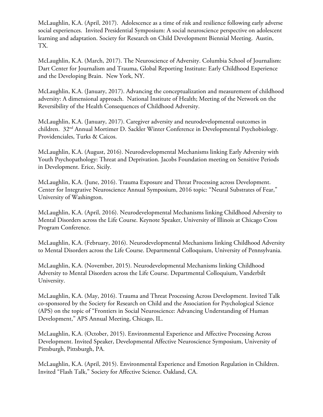McLaughlin, K.A. (April, 2017). Adolescence as a time of risk and resilience following early adverse social experiences. Invited Presidential Symposium: A social neuroscience perspective on adolescent learning and adaptation. Society for Research on Child Development Biennial Meeting. Austin, TX.

McLaughlin, K.A. (March, 2017). The Neuroscience of Adversity. Columbia School of Journalism: Dart Center for Journalism and Trauma, Global Reporting Institute: Early Childhood Experience and the Developing Brain. New York, NY.

McLaughlin, K.A. (January, 2017). Advancing the conceptualization and measurement of childhood adversity: A dimensional approach. National Institute of Health; Meeting of the Network on the Reversibility of the Health Consequences of Childhood Adversity.

McLaughlin, K.A. (January, 2017). Caregiver adversity and neurodevelopmental outcomes in children. 32nd Annual Mortimer D. Sackler Winter Conference in Developmental Psychobiology. Providenciales, Turks & Caicos.

McLaughlin, K.A. (August, 2016). Neurodevelopmental Mechanisms linking Early Adversity with Youth Psychopathology: Threat and Deprivation. Jacobs Foundation meeting on Sensitive Periods in Development. Erice, Sicily.

McLaughlin, K.A. (June, 2016). Trauma Exposure and Threat Processing across Development. Center for Integrative Neuroscience Annual Symposium, 2016 topic: "Neural Substrates of Fear," University of Washington.

McLaughlin, K.A. (April, 2016). Neurodevelopmental Mechanisms linking Childhood Adversity to Mental Disorders across the Life Course. Keynote Speaker, University of Illinois at Chicago Cross Program Conference.

McLaughlin, K.A. (February, 2016). Neurodevelopmental Mechanisms linking Childhood Adversity to Mental Disorders across the Life Course. Departmental Colloquium, University of Pennsylvania.

McLaughlin, K.A. (November, 2015). Neurodevelopmental Mechanisms linking Childhood Adversity to Mental Disorders across the Life Course. Departmental Colloquium, Vanderbilt University.

McLaughlin, K.A. (May, 2016). Trauma and Threat Processing Across Development. Invited Talk co-sponsored by the Society for Research on Child and the Association for Psychological Science (APS) on the topic of "Frontiers in Social Neuroscience: Advancing Understanding of Human Development," APS Annual Meeting, Chicago, IL.

McLaughlin, K.A. (October, 2015). Environmental Experience and Affective Processing Across Development. Invited Speaker, Developmental Affective Neuroscience Symposium, University of Pittsburgh, Pittsburgh, PA.

McLaughlin, K.A. (April, 2015). Environmental Experience and Emotion Regulation in Children. Invited "Flash Talk," Society for Affective Science. Oakland, CA.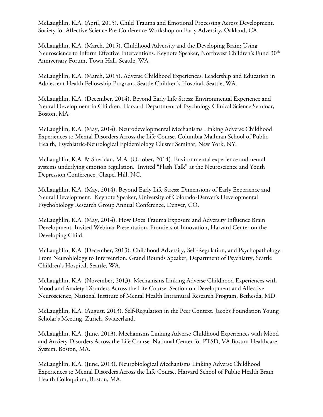McLaughlin, K.A. (April, 2015). Child Trauma and Emotional Processing Across Development. Society for Affective Science Pre-Conference Workshop on Early Adversity, Oakland, CA.

McLaughlin, K.A. (March, 2015). Childhood Adversity and the Developing Brain: Using Neuroscience to Inform Effective Interventions. Keynote Speaker, Northwest Children's Fund 30<sup>th</sup> Anniversary Forum, Town Hall, Seattle, WA.

McLaughlin, K.A. (March, 2015). Adverse Childhood Experiences. Leadership and Education in Adolescent Health Fellowship Program, Seattle Children's Hospital, Seattle, WA.

McLaughlin, K.A. (December, 2014). Beyond Early Life Stress: Environmental Experience and Neural Development in Children. Harvard Department of Psychology Clinical Science Seminar, Boston, MA.

McLaughlin, K.A. (May, 2014). Neurodevelopmental Mechanisms Linking Adverse Childhood Experiences to Mental Disorders Across the Life Course. Columbia Mailman School of Public Health, Psychiatric-Neurological Epidemiology Cluster Seminar, New York, NY.

McLaughlin, K.A. & Sheridan, M.A. (October, 2014). Environmental experience and neural systems underlying emotion regulation. Invited "Flash Talk" at the Neuroscience and Youth Depression Conference, Chapel Hill, NC.

McLaughlin, K.A. (May, 2014). Beyond Early Life Stress: Dimensions of Early Experience and Neural Development. Keynote Speaker, University of Colorado-Denver's Developmental Psychobiology Research Group Annual Conference, Denver, CO.

McLaughlin, K.A. (May, 2014). How Does Trauma Exposure and Adversity Influence Brain Development. Invited Webinar Presentation, Frontiers of Innovation, Harvard Center on the Developing Child.

McLaughlin, K.A. (December, 2013). Childhood Adversity, Self-Regulation, and Psychopathology: From Neurobiology to Intervention. Grand Rounds Speaker, Department of Psychiatry, Seattle Children's Hospital, Seattle, WA.

McLaughlin, K.A. (November, 2013). Mechanisms Linking Adverse Childhood Experiences with Mood and Anxiety Disorders Across the Life Course. Section on Development and Affective Neuroscience, National Institute of Mental Health Intramural Research Program, Bethesda, MD.

McLaughlin, K.A. (August, 2013). Self-Regulation in the Peer Context. Jacobs Foundation Young Scholar's Meeting, Zurich, Switzerland.

McLaughlin, K.A. (June, 2013). Mechanisms Linking Adverse Childhood Experiences with Mood and Anxiety Disorders Across the Life Course. National Center for PTSD, VA Boston Healthcare System, Boston, MA.

McLaughlin, K.A. (June, 2013). Neurobiological Mechanisms Linking Adverse Childhood Experiences to Mental Disorders Across the Life Course. Harvard School of Public Health Brain Health Colloquium, Boston, MA.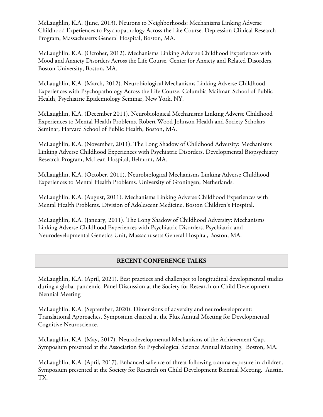McLaughlin, K.A. (June, 2013). Neurons to Neighborhoods: Mechanisms Linking Adverse Childhood Experiences to Psychopathology Across the Life Course. Depression Clinical Research Program, Massachusetts General Hospital, Boston, MA.

McLaughlin, K.A. (October, 2012). Mechanisms Linking Adverse Childhood Experiences with Mood and Anxiety Disorders Across the Life Course. Center for Anxiety and Related Disorders, Boston University, Boston, MA.

McLaughlin, K.A. (March, 2012). Neurobiological Mechanisms Linking Adverse Childhood Experiences with Psychopathology Across the Life Course. Columbia Mailman School of Public Health, Psychiatric Epidemiology Seminar, New York, NY.

McLaughlin, K.A. (December 2011). Neurobiological Mechanisms Linking Adverse Childhood Experiences to Mental Health Problems. Robert Wood Johnson Health and Society Scholars Seminar, Harvard School of Public Health, Boston, MA.

McLaughlin, K.A. (November, 2011). The Long Shadow of Childhood Adversity: Mechanisms Linking Adverse Childhood Experiences with Psychiatric Disorders. Developmental Biopsychiatry Research Program, McLean Hospital, Belmont, MA.

McLaughlin, K.A. (October, 2011). Neurobiological Mechanisms Linking Adverse Childhood Experiences to Mental Health Problems. University of Groningen, Netherlands.

McLaughlin, K.A. (August, 2011). Mechanisms Linking Adverse Childhood Experiences with Mental Health Problems. Division of Adolescent Medicine, Boston Children's Hospital.

McLaughlin, K.A. (January, 2011). The Long Shadow of Childhood Adversity: Mechanisms Linking Adverse Childhood Experiences with Psychiatric Disorders. Psychiatric and Neurodevelopmental Genetics Unit, Massachusetts General Hospital, Boston, MA.

# **RECENT CONFERENCE TALKS**

McLaughlin, K.A. (April, 2021). Best practices and challenges to longitudinal developmental studies during a global pandemic. Panel Discussion at the Society for Research on Child Development Biennial Meeting

McLaughlin, K.A. (September, 2020). Dimensions of adversity and neurodevelopment: Translational Approaches. Symposium chaired at the Flux Annual Meeting for Developmental Cognitive Neuroscience.

McLaughlin, K.A. (May, 2017). Neurodevelopmental Mechanisms of the Achievement Gap. Symposium presented at the Association for Psychological Science Annual Meeting. Boston, MA.

McLaughlin, K.A. (April, 2017). Enhanced salience of threat following trauma exposure in children. Symposium presented at the Society for Research on Child Development Biennial Meeting. Austin, TX.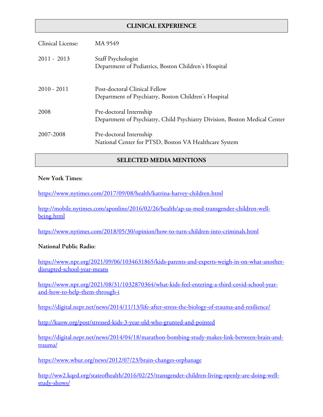# **CLINICAL EXPERIENCE**

| Clinical License: | MA 9549                                                                                               |
|-------------------|-------------------------------------------------------------------------------------------------------|
| $2011 - 2013$     | Staff Psychologist<br>Department of Pediatrics, Boston Children's Hospital                            |
| $2010 - 2011$     | Post-doctoral Clinical Fellow<br>Department of Psychiatry, Boston Children's Hospital                 |
| 2008              | Pre-doctoral Internship<br>Department of Psychiatry, Child Psychiatry Division, Boston Medical Center |
| 2007-2008         | Pre-doctoral Internship<br>National Center for PTSD, Boston VA Healthcare System                      |

# **SELECTED MEDIA MENTIONS**

### **New York Times:**

https://www.nytimes.com/2017/09/08/health/katrina-harvey-children.html

http://mobile.nytimes.com/aponline/2016/02/26/health/ap-us-med-transgender-children-wellbeing.html

https://www.nytimes.com/2018/05/30/opinion/how-to-turn-children-into-criminals.html

### **National Public Radio**:

https://www.npr.org/2021/09/06/1034631865/kids-parents-and-experts-weigh-in-on-what-anotherdisrupted-school-year-means

```
https://www.npr.org/2021/08/31/1032870364/what-kids-feel-entering-a-third-covid-school-year-
and-how-to-help-them-through-i
```
https://digital.nepr.net/news/2014/11/13/life-after-stress-the-biology-of-trauma-and-resilience/

http://kuow.org/post/stressed-kids-3-year-old-who-grunted-and-pointed

https://digital.nepr.net/news/2014/04/18/marathon-bombing-study-makes-link-between-brain-andtrauma/

https://www.wbur.org/news/2012/07/23/brain-changes-orphanage

http://ww2.kqed.org/stateofhealth/2016/02/25/transgender-children-living-openly-are-doing-wellstudy-shows/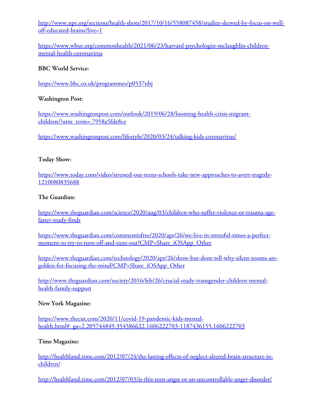http://www.npr.org/sections/health-shots/2017/10/16/558087458/studies-skewed-by-focus-on-welloff-educated-brains?live=1

https://www.wbur.org/commonhealth/2021/06/23/harvard-psychologist-mclaughlin-childrenmental-health-coronavirus

# **BBC World Service:**

https://www.bbc.co.uk/programmes/p0537nbj

### **Washington Post:**

https://www.washingtonpost.com/outlook/2019/06/28/looming-health-crisis-migrantchildren/?utm\_term=.7958a5fde8ce

https://www.washingtonpost.com/lifestyle/2020/03/24/talking-kids-coronavirus/

### **Today Show:**

https://www.today.com/video/stressed-out-teens-schools-take-new-approaches-to-avert-tragedy-1210080835688

### **The Guardian:**

https://www.theguardian.com/science/2020/aug/03/children-who-suffer-violence-or-trauma-agefaster-study-finds

https://www.theguardian.com/commentisfree/2020/apr/26/we-live-in-stressful-times-a-perfectmoment-to-try-to-turn-off-and-tune-out?CMP=Share\_iOSApp\_Other

https://www.theguardian.com/technology/2020/apr/26/show-but-dont-tell-why-silent-zooms-aregolden-for-focusing-the-mind?CMP=Share\_iOSApp\_Other

http://www.theguardian.com/society/2016/feb/26/crucial-study-transgender-children-mentalhealth-family-support

### **New York Magazine:**

https://www.thecut.com/2020/11/covid-19-pandemic-kids-mentalhealth.html#\_ga=2.205744849.354586622.1606222703-1187436155.1606222703

### **Time Magazine:**

http://healthland.time.com/2012/07/24/the-lasting-effects-of-neglect-altered-brain-structure-inchildren/

http://healthland.time.com/2012/07/03/is-this-teen-angst-or-an-uncontrollable-anger-disorder/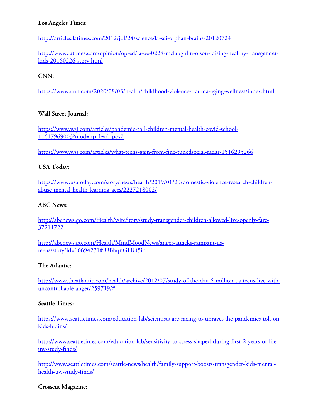# **Los Angeles Times**:

http://articles.latimes.com/2012/jul/24/science/la-sci-orphan-brains-20120724

http://www.latimes.com/opinion/op-ed/la-oe-0228-mclaughlin-olson-raising-healthy-transgenderkids-20160226-story.html

# **CNN:**

https://www.cnn.com/2020/08/03/health/childhood-violence-trauma-aging-wellness/index.html

# **Wall Street Journal:**

https://www.wsj.com/articles/pandemic-toll-children-mental-health-covid-school-11617969003?mod=hp\_lead\_pos7

https://www.wsj.com/articles/what-teens-gain-from-fine-tunedsocial-radar-1516295266

# **USA Today:**

https://www.usatoday.com/story/news/health/2019/01/29/domestic-violence-research-childrenabuse-mental-health-learning-aces/2227218002/

# **ABC News:**

http://abcnews.go.com/Health/wireStory/study-transgender-children-allowed-live-openly-fare-37211722

http://abcnews.go.com/Health/MindMoodNews/anger-attacks-rampant-usteens/story?id=16694231#.UBbqnGHO5id

# **The Atlantic:**

http://www.theatlantic.com/health/archive/2012/07/study-of-the-day-6-million-us-teens-live-withuncontrollable-anger/259719/#

# **Seattle Times:**

https://www.seattletimes.com/education-lab/scientists-are-racing-to-unravel-the-pandemics-toll-onkids-brains/

http://www.seattletimes.com/education-lab/sensitivity-to-stress-shaped-during-first-2-years-of-lifeuw-study-finds/

http://www.seattletimes.com/seattle-news/health/family-support-boosts-transgender-kids-mentalhealth-uw-study-finds/

# **Crosscut Magazine:**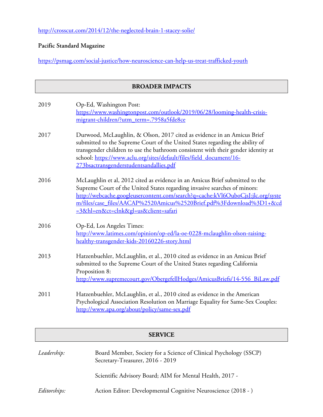http://crosscut.com/2014/12/the-neglected-brain-1-stacey-solie/

# **Pacific Standard Magazine**

https://psmag.com/social-justice/how-neuroscience-can-help-us-treat-trafficked-youth

| <b>BROADER IMPACTS</b> |                                                                                                                                                                                                                                                                                                                                                                |
|------------------------|----------------------------------------------------------------------------------------------------------------------------------------------------------------------------------------------------------------------------------------------------------------------------------------------------------------------------------------------------------------|
| 2019                   | Op-Ed, Washington Post:<br>https://www.washingtonpost.com/outlook/2019/06/28/looming-health-crisis-<br>migrant-children/?utm_term=.7958a5fde8ce                                                                                                                                                                                                                |
| 2017                   | Durwood, McLaughlin, & Olson, 2017 cited as evidence in an Amicus Brief<br>submitted to the Supreme Court of the United States regarding the ability of<br>transgender children to use the bathroom consistent with their gender identity at<br>school: https://www.aclu.org/sites/default/files/field_document/16-<br>273bsactransgenderstudentsandallies.pdf |
| 2016                   | McLaughlin et al, 2012 cited as evidence in an Amicus Brief submitted to the<br>Supreme Court of the United States regarding invasive searches of minors:<br>http://webcache.googleusercontent.com/search?q=cache:kVl6OuboCjsJ:jlc.org/syste<br>m/files/case_files/AACAP%2520Amicus%2520Brief.pdf%3Fdownload%3D1+&cd<br>=3&hl=en&ct=clnk≷=us&client=safari     |
| 2016                   | Op-Ed, Los Angeles Times:<br>http://www.latimes.com/opinion/op-ed/la-oe-0228-mclaughlin-olson-raising-<br>healthy-transgender-kids-20160226-story.html                                                                                                                                                                                                         |
| 2013                   | Hatzenbuehler, McLaughlin, et al., 2010 cited as evidence in an Amicus Brief<br>submitted to the Supreme Court of the United States regarding California<br>Proposition 8:<br>http://www.supremecourt.gov/ObergefellHodges/AmicusBriefs/14-556 BiLaw.pdf                                                                                                       |
| 2011                   | Hatzenbuehler, McLaughlin, et al., 2010 cited as evidence in the American<br>Psychological Association Resolution on Marriage Equality for Same-Sex Couples:<br>http://www.apa.org/about/policy/same-sex.pdf                                                                                                                                                   |
| <b>SERVICE</b>         |                                                                                                                                                                                                                                                                                                                                                                |
|                        |                                                                                                                                                                                                                                                                                                                                                                |

| Leadership:  | Board Member, Society for a Science of Clinical Psychology (SSCP)<br>Secretary-Treasurer, 2016 - 2019 |
|--------------|-------------------------------------------------------------------------------------------------------|
|              | Scientific Advisory Board; AIM for Mental Health, 2017 -                                              |
| Editorships: | Action Editor: Developmental Cognitive Neuroscience (2018 - )                                         |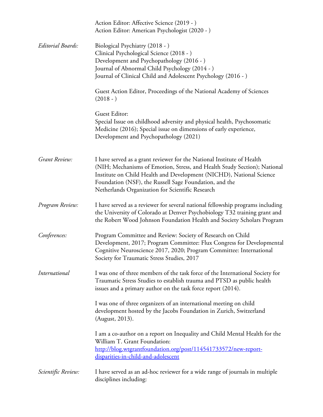|                    | Action Editor: Affective Science (2019 - )<br>Action Editor: American Psychologist (2020 - )                                                                                                                                                                                                                                            |
|--------------------|-----------------------------------------------------------------------------------------------------------------------------------------------------------------------------------------------------------------------------------------------------------------------------------------------------------------------------------------|
| Editorial Boards:  | Biological Psychiatry (2018 - )<br>Clinical Psychological Science (2018 - )<br>Development and Psychopathology (2016 - )<br>Journal of Abnormal Child Psychology (2014 - )<br>Journal of Clinical Child and Adolescent Psychology (2016 - )                                                                                             |
|                    | Guest Action Editor, Proceedings of the National Academy of Sciences<br>$(2018 - )$                                                                                                                                                                                                                                                     |
|                    | Guest Editor:<br>Special Issue on childhood adversity and physical health, Psychosomatic<br>Medicine (2016); Special issue on dimensions of early experience,<br>Development and Psychopathology (2021)                                                                                                                                 |
| Grant Review:      | I have served as a grant reviewer for the National Institute of Health<br>(NIH; Mechanisms of Emotion, Stress, and Health Study Section); National<br>Institute on Child Health and Development (NICHD), National Science<br>Foundation (NSF), the Russell Sage Foundation, and the<br>Netherlands Organization for Scientific Research |
| Program Review:    | I have served as a reviewer for several national fellowship programs including<br>the University of Colorado at Denver Psychobiology T32 training grant and<br>the Robert Wood Johnson Foundation Health and Society Scholars Program                                                                                                   |
| Conferences:       | Program Committee and Review: Society of Research on Child<br>Development, 2017; Program Committee: Flux Congress for Developmental<br>Cognitive Neuroscience 2017, 2020; Program Committee: International<br>Society for Traumatic Stress Studies, 2017                                                                                |
| International      | I was one of three members of the task force of the International Society for<br>Traumatic Stress Studies to establish trauma and PTSD as public health<br>issues and a primary author on the task force report (2014).                                                                                                                 |
|                    | I was one of three organizers of an international meeting on child<br>development hosted by the Jacobs Foundation in Zurich, Switzerland<br>(August, 2013).                                                                                                                                                                             |
|                    | I am a co-author on a report on Inequality and Child Mental Health for the<br>William T. Grant Foundation:<br>http://blog.wtgrantfoundation.org/post/114541733572/new-report-<br>disparities-in-child-and-adolescent                                                                                                                    |
| Scientific Review: | I have served as an ad-hoc reviewer for a wide range of journals in multiple<br>disciplines including:                                                                                                                                                                                                                                  |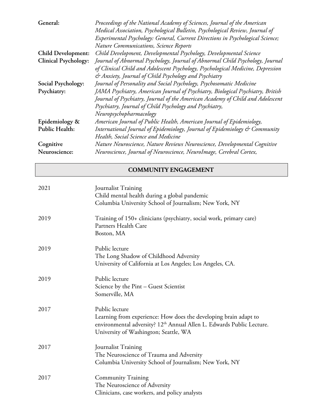| General:                    | Proceedings of the National Academy of Sciences, Journal of the American        |
|-----------------------------|---------------------------------------------------------------------------------|
|                             | Medical Association, Psychological Bulletin, Psychological Review, Journal of   |
|                             | Experimental Psychology: General, Current Directions in Psychological Science;  |
|                             | <b>Nature Communications, Science Reports</b>                                   |
| <b>Child Development:</b>   | Child Development, Developmental Psychology, Developmental Science              |
| <b>Clinical Psychology:</b> | Journal of Abnormal Psychology, Journal of Abnormal Child Psychology, Journal   |
|                             | of Clinical Child and Adolescent Psychology, Psychological Medicine, Depression |
|                             | & Anxiety, Journal of Child Psychology and Psychiatry                           |
| Social Psychology:          | Journal of Personality and Social Psychology, Psychosomatic Medicine            |
| Psychiatry:                 | JAMA Psychiatry, American Journal of Psychiatry, Biological Psychiatry, British |
|                             | Journal of Psychiatry, Journal of the American Academy of Child and Adolescent  |
|                             | Psychiatry, Journal of Child Psychology and Psychiatry,                         |
|                             | Neuropsychopharmacology                                                         |
| Epidemiology &              | American Journal of Public Health, American Journal of Epidemiology,            |
| Public Health:              | International Journal of Epidemiology, Journal of Epidemiology & Community      |
|                             | Health, Social Science and Medicine                                             |
| Cognitive                   | Nature Neuroscience, Nature Reviews Neuroscience, Developmental Cognitive       |
| Neuroscience:               | Neuroscience, Journal of Neuroscience, NeuroImage, Cerebral Cortex,             |

# **COMMUNITY ENGAGEMENT**

| 2021 | Journalist Training<br>Child mental health during a global pandemic<br>Columbia University School of Journalism; New York, NY                                                                                    |
|------|------------------------------------------------------------------------------------------------------------------------------------------------------------------------------------------------------------------|
| 2019 | Training of 150+ clinicians (psychiatry, social work, primary care)<br>Partners Health Care<br>Boston, MA                                                                                                        |
| 2019 | Public lecture<br>The Long Shadow of Childhood Adversity<br>University of California at Los Angeles; Los Angeles, CA.                                                                                            |
| 2019 | Public lecture<br>Science by the Pint - Guest Scientist<br>Somerville, MA                                                                                                                                        |
| 2017 | Public lecture<br>Learning from experience: How does the developing brain adapt to<br>environmental adversity? 12 <sup>th</sup> Annual Allen L. Edwards Public Lecture.<br>University of Washington; Seattle, WA |
| 2017 | Journalist Training<br>The Neuroscience of Trauma and Adversity<br>Columbia University School of Journalism; New York, NY                                                                                        |
| 2017 | Community Training<br>The Neuroscience of Adversity<br>Clinicians, case workers, and policy analysts                                                                                                             |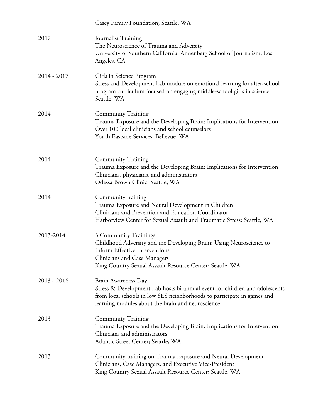|               | Casey Family Foundation; Seattle, WA                                                                                                                                                                                                      |
|---------------|-------------------------------------------------------------------------------------------------------------------------------------------------------------------------------------------------------------------------------------------|
| 2017          | Journalist Training<br>The Neuroscience of Trauma and Adversity<br>University of Southern California, Annenberg School of Journalism; Los<br>Angeles, CA                                                                                  |
| $2014 - 2017$ | Girls in Science Program<br>Stress and Development Lab module on emotional learning for after-school<br>program curriculum focused on engaging middle-school girls in science<br>Seattle, WA                                              |
| 2014          | <b>Community Training</b><br>Trauma Exposure and the Developing Brain: Implications for Intervention<br>Over 100 local clinicians and school counselors<br>Youth Eastside Services; Bellevue, WA                                          |
| 2014          | <b>Community Training</b><br>Trauma Exposure and the Developing Brain: Implications for Intervention<br>Clinicians, physicians, and administrators<br>Odessa Brown Clinic; Seattle, WA                                                    |
| 2014          | Community training<br>Trauma Exposure and Neural Development in Children<br>Clinicians and Prevention and Education Coordinator<br>Harborview Center for Sexual Assault and Traumatic Stress; Seattle, WA                                 |
| 2013-2014     | 3 Community Trainings<br>Childhood Adversity and the Developing Brain: Using Neuroscience to<br><b>Inform Effective Interventions</b><br>Clinicians and Case Managers<br>King Country Sexual Assault Resource Center; Seattle, WA         |
| $2013 - 2018$ | <b>Brain Awareness Day</b><br>Stress & Development Lab hosts bi-annual event for children and adolescents<br>from local schools in low SES neighborhoods to participate in games and<br>learning modules about the brain and neuroscience |
| 2013          | <b>Community Training</b><br>Trauma Exposure and the Developing Brain: Implications for Intervention<br>Clinicians and administrators<br>Atlantic Street Center; Seattle, WA                                                              |
| 2013          | Community training on Trauma Exposure and Neural Development<br>Clinicians, Case Managers, and Executive Vice-President<br>King Country Sexual Assault Resource Center; Seattle, WA                                                       |